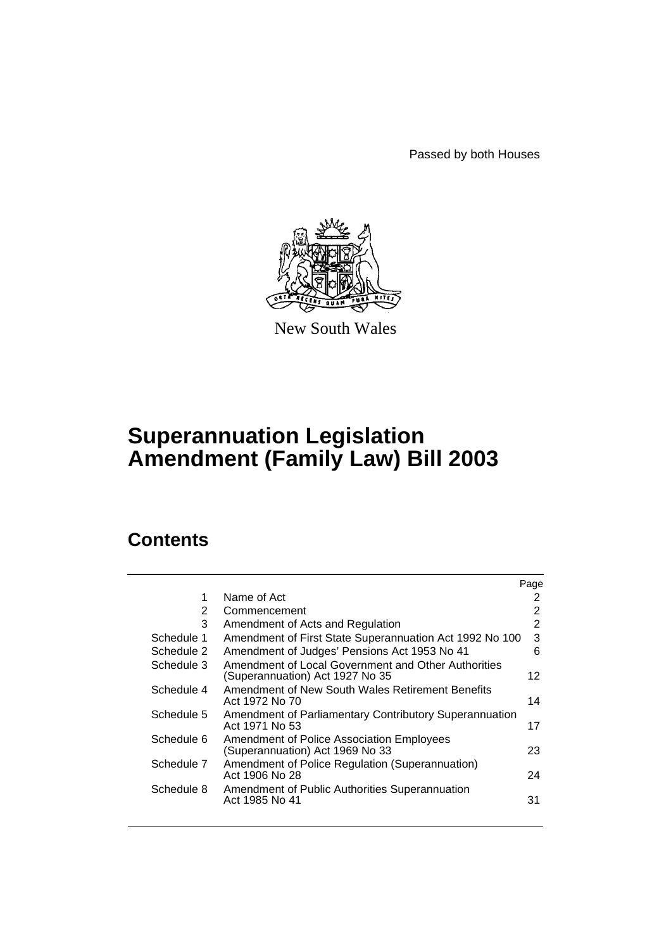Passed by both Houses



New South Wales

# **Superannuation Legislation Amendment (Family Law) Bill 2003**

# **Contents**

|                |                                                                                        | Page           |
|----------------|----------------------------------------------------------------------------------------|----------------|
| 1              | Name of Act                                                                            | 2              |
| $\overline{2}$ | Commencement                                                                           | 2              |
| 3              | Amendment of Acts and Regulation                                                       | $\overline{2}$ |
| Schedule 1     | Amendment of First State Superannuation Act 1992 No 100                                | 3              |
| Schedule 2     | Amendment of Judges' Pensions Act 1953 No 41                                           | 6              |
| Schedule 3     | Amendment of Local Government and Other Authorities<br>(Superannuation) Act 1927 No 35 | 12             |
| Schedule 4     | Amendment of New South Wales Retirement Benefits<br>Act 1972 No 70                     | 14             |
| Schedule 5     | Amendment of Parliamentary Contributory Superannuation<br>Act 1971 No 53               | 17             |
| Schedule 6     | <b>Amendment of Police Association Employees</b><br>(Superannuation) Act 1969 No 33    | 23             |
| Schedule 7     | Amendment of Police Regulation (Superannuation)<br>Act 1906 No 28                      | 24             |
| Schedule 8     | Amendment of Public Authorities Superannuation<br>Act 1985 No 41                       | 31             |
|                |                                                                                        |                |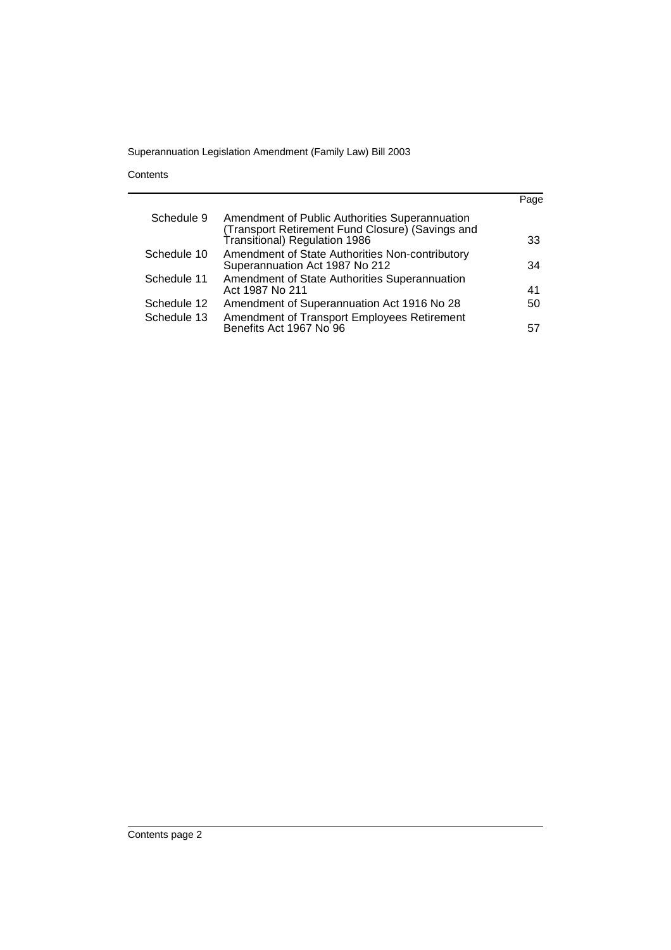**Contents** 

|             |                                                                                                                                     | Page |
|-------------|-------------------------------------------------------------------------------------------------------------------------------------|------|
| Schedule 9  | Amendment of Public Authorities Superannuation<br>(Transport Retirement Fund Closure) (Savings and<br>Transitional) Regulation 1986 | 33   |
| Schedule 10 | Amendment of State Authorities Non-contributory<br>Superannuation Act 1987 No 212                                                   | 34   |
| Schedule 11 | Amendment of State Authorities Superannuation<br>Act 1987 No 211                                                                    | 41   |
| Schedule 12 | Amendment of Superannuation Act 1916 No 28                                                                                          | 50   |
| Schedule 13 | Amendment of Transport Employees Retirement<br>Benefits Act 1967 No 96                                                              | 57   |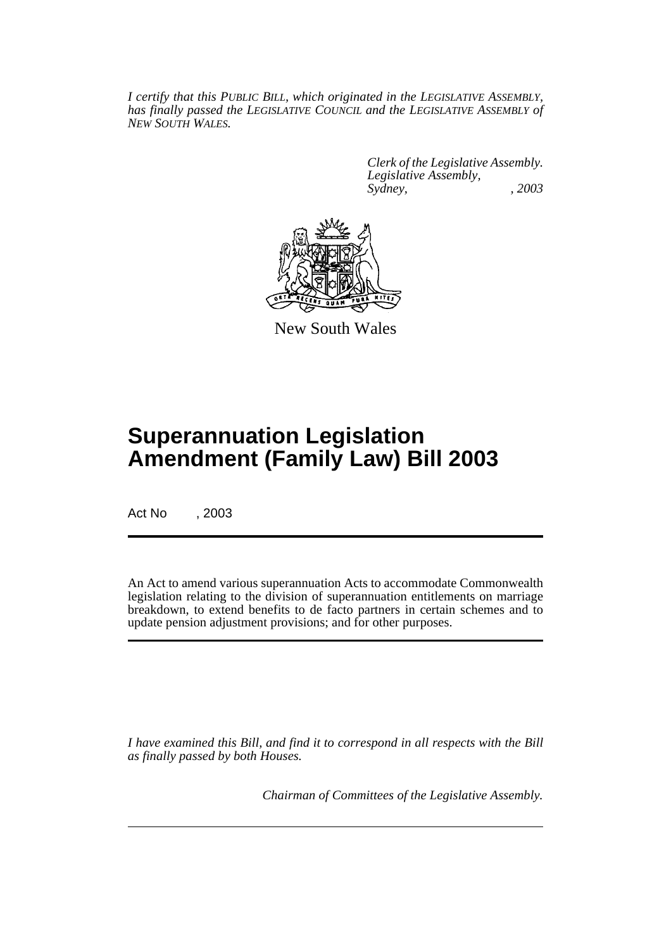*I certify that this PUBLIC BILL, which originated in the LEGISLATIVE ASSEMBLY, has finally passed the LEGISLATIVE COUNCIL and the LEGISLATIVE ASSEMBLY of NEW SOUTH WALES.*

> *Clerk of the Legislative Assembly. Legislative Assembly, Sydney, , 2003*



New South Wales

# **Superannuation Legislation Amendment (Family Law) Bill 2003**

Act No , 2003

An Act to amend various superannuation Acts to accommodate Commonwealth legislation relating to the division of superannuation entitlements on marriage breakdown, to extend benefits to de facto partners in certain schemes and to update pension adjustment provisions; and for other purposes.

*I have examined this Bill, and find it to correspond in all respects with the Bill as finally passed by both Houses.*

*Chairman of Committees of the Legislative Assembly.*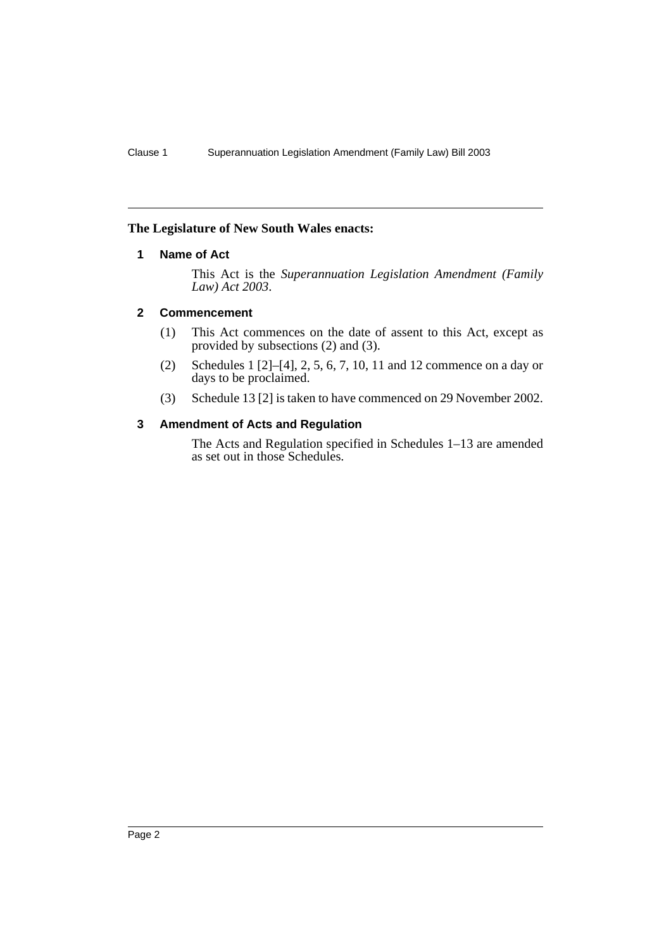# **The Legislature of New South Wales enacts:**

# **1 Name of Act**

This Act is the *Superannuation Legislation Amendment (Family Law) Act 2003*.

# **2 Commencement**

- (1) This Act commences on the date of assent to this Act, except as provided by subsections (2) and (3).
- (2) Schedules 1 [2]–[4], 2, 5, 6, 7, 10, 11 and 12 commence on a day or days to be proclaimed.
- (3) Schedule 13 [2] is taken to have commenced on 29 November 2002.

# **3 Amendment of Acts and Regulation**

The Acts and Regulation specified in Schedules 1–13 are amended as set out in those Schedules.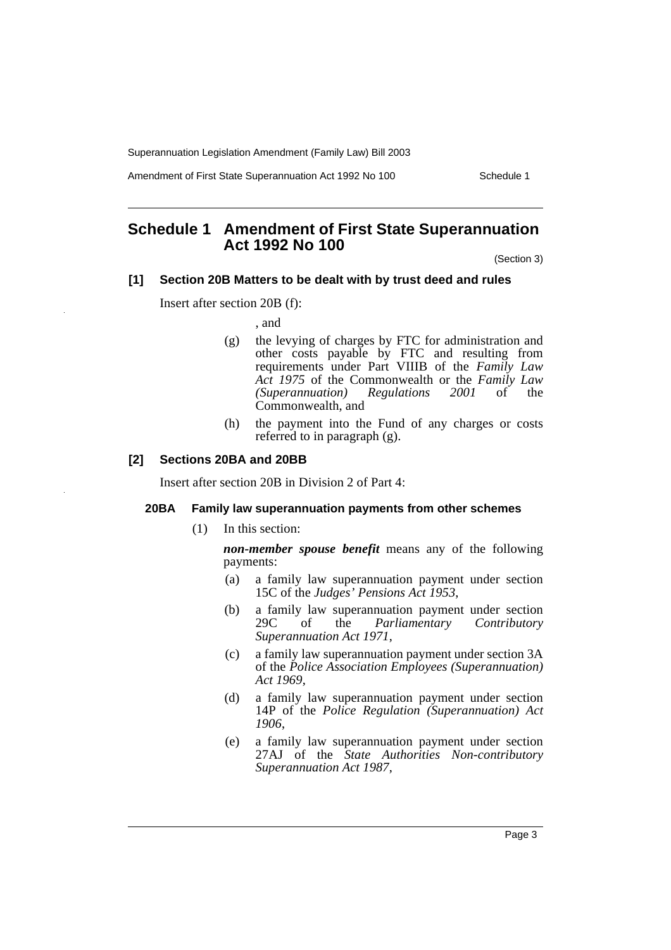Amendment of First State Superannuation Act 1992 No 100 Schedule 1

# **Schedule 1 Amendment of First State Superannuation Act 1992 No 100**

(Section 3)

#### **[1] Section 20B Matters to be dealt with by trust deed and rules**

Insert after section 20B (f):

, and

- (g) the levying of charges by FTC for administration and other costs payable by FTC and resulting from requirements under Part VIIIB of the *Family Law Act 1975* of the Commonwealth or the *Family Law (Superannuation) Regulations 2001* of the Commonwealth, and
- (h) the payment into the Fund of any charges or costs referred to in paragraph (g).

# **[2] Sections 20BA and 20BB**

Insert after section 20B in Division 2 of Part 4:

### **20BA Family law superannuation payments from other schemes**

(1) In this section:

*non-member spouse benefit* means any of the following payments:

- (a) a family law superannuation payment under section 15C of the *Judges' Pensions Act 1953*,
- (b) a family law superannuation payment under section 29C of the *Parliamentary Contributory Superannuation Act 1971*,
- (c) a family law superannuation payment under section 3A of the *Police Association Employees (Superannuation) Act 1969*,
- (d) a family law superannuation payment under section 14P of the *Police Regulation (Superannuation) Act 1906*,
- (e) a family law superannuation payment under section 27AJ of the *State Authorities Non-contributory Superannuation Act 1987*,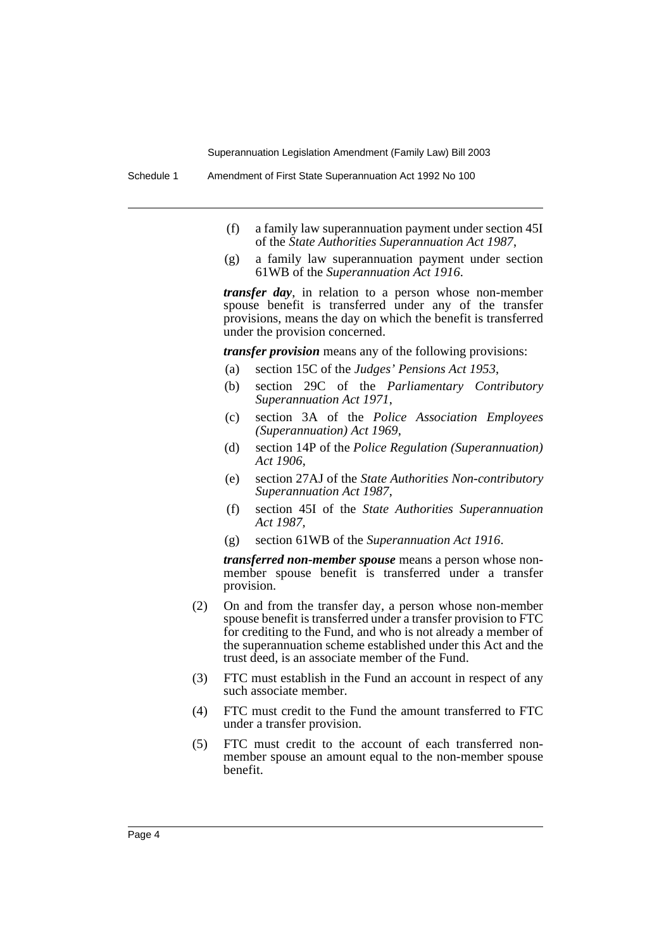Schedule 1 Amendment of First State Superannuation Act 1992 No 100

- (f) a family law superannuation payment under section 45I of the *State Authorities Superannuation Act 1987*,
- (g) a family law superannuation payment under section 61WB of the *Superannuation Act 1916*.

*transfer day*, in relation to a person whose non-member spouse benefit is transferred under any of the transfer provisions, means the day on which the benefit is transferred under the provision concerned.

*transfer provision* means any of the following provisions:

- (a) section 15C of the *Judges' Pensions Act 1953*,
- (b) section 29C of the *Parliamentary Contributory Superannuation Act 1971*,
- (c) section 3A of the *Police Association Employees (Superannuation) Act 1969*,
- (d) section 14P of the *Police Regulation (Superannuation) Act 1906*,
- (e) section 27AJ of the *State Authorities Non-contributory Superannuation Act 1987*,
- (f) section 45I of the *State Authorities Superannuation Act 1987,*
- (g) section 61WB of the *Superannuation Act 1916*.

*transferred non-member spouse* means a person whose nonmember spouse benefit is transferred under a transfer provision.

- (2) On and from the transfer day, a person whose non-member spouse benefit is transferred under a transfer provision to FTC for crediting to the Fund, and who is not already a member of the superannuation scheme established under this Act and the trust deed, is an associate member of the Fund.
- (3) FTC must establish in the Fund an account in respect of any such associate member.
- (4) FTC must credit to the Fund the amount transferred to FTC under a transfer provision.
- (5) FTC must credit to the account of each transferred nonmember spouse an amount equal to the non-member spouse benefit.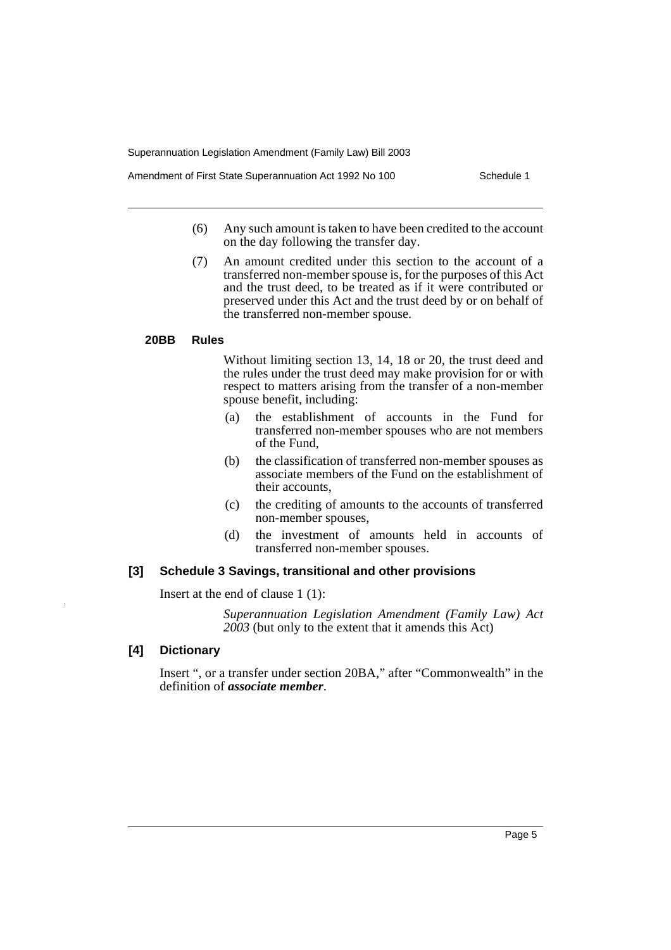Amendment of First State Superannuation Act 1992 No 100 Schedule 1

- (6) Any such amount is taken to have been credited to the account on the day following the transfer day.
- (7) An amount credited under this section to the account of a transferred non-member spouse is, for the purposes of this Act and the trust deed, to be treated as if it were contributed or preserved under this Act and the trust deed by or on behalf of the transferred non-member spouse.

#### **20BB Rules**

Without limiting section 13, 14, 18 or 20, the trust deed and the rules under the trust deed may make provision for or with respect to matters arising from the transfer of a non-member spouse benefit, including:

- (a) the establishment of accounts in the Fund for transferred non-member spouses who are not members of the Fund,
- (b) the classification of transferred non-member spouses as associate members of the Fund on the establishment of their accounts,
- (c) the crediting of amounts to the accounts of transferred non-member spouses,
- (d) the investment of amounts held in accounts of transferred non-member spouses.

# **[3] Schedule 3 Savings, transitional and other provisions**

Insert at the end of clause 1 (1):

*Superannuation Legislation Amendment (Family Law) Act 2003* (but only to the extent that it amends this Act)

# **[4] Dictionary**

Insert ", or a transfer under section 20BA," after "Commonwealth" in the definition of *associate member*.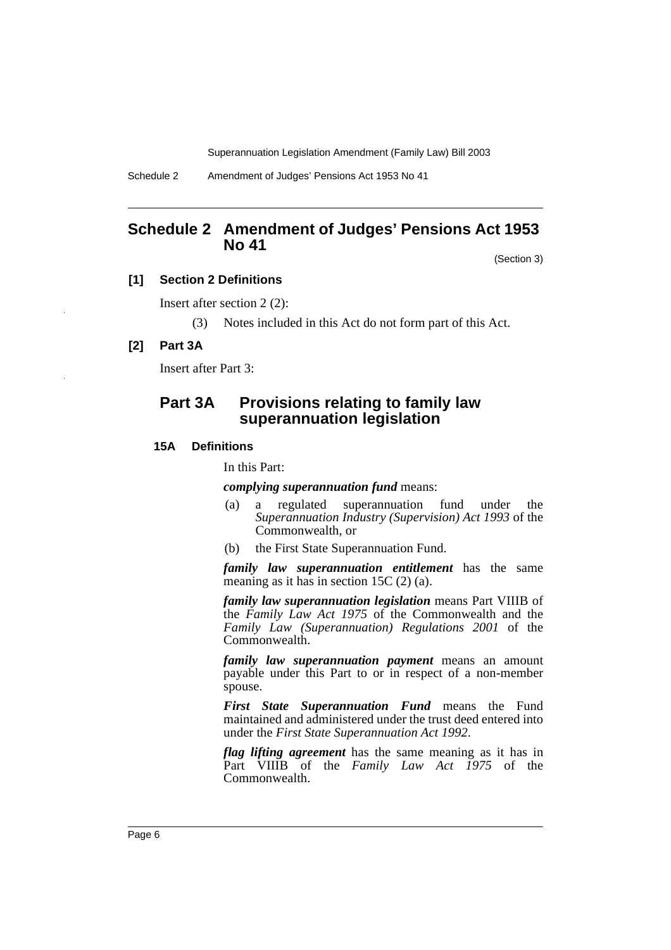Schedule 2 Amendment of Judges' Pensions Act 1953 No 41

# **Schedule 2 Amendment of Judges' Pensions Act 1953 No 41**

(Section 3)

# **[1] Section 2 Definitions**

Insert after section 2 (2):

(3) Notes included in this Act do not form part of this Act.

#### **[2] Part 3A**

Insert after Part 3:

# **Part 3A Provisions relating to family law superannuation legislation**

#### **15A Definitions**

In this Part:

*complying superannuation fund* means:

- (a) a regulated superannuation fund under the *Superannuation Industry (Supervision) Act 1993* of the Commonwealth, or
- (b) the First State Superannuation Fund.

*family law superannuation entitlement* has the same meaning as it has in section 15C (2) (a).

*family law superannuation legislation* means Part VIIIB of the *Family Law Act 1975* of the Commonwealth and the *Family Law (Superannuation) Regulations 2001* of the Commonwealth.

*family law superannuation payment* means an amount payable under this Part to or in respect of a non-member spouse.

*First State Superannuation Fund* means the Fund maintained and administered under the trust deed entered into under the *First State Superannuation Act 1992*.

*flag lifting agreement* has the same meaning as it has in Part VIIIB of the *Family Law Act 1975* of the Commonwealth.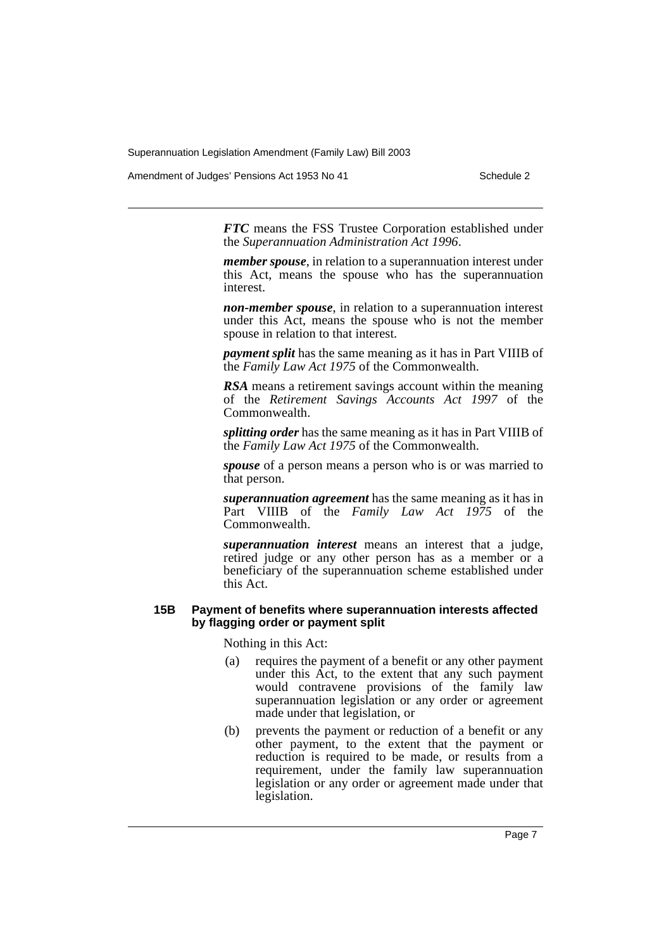Amendment of Judges' Pensions Act 1953 No 41 Schedule 2

*FTC* means the FSS Trustee Corporation established under the *Superannuation Administration Act 1996*.

*member spouse*, in relation to a superannuation interest under this Act, means the spouse who has the superannuation interest.

*non-member spouse*, in relation to a superannuation interest under this Act, means the spouse who is not the member spouse in relation to that interest.

*payment split* has the same meaning as it has in Part VIIIB of the *Family Law Act 1975* of the Commonwealth.

*RSA* means a retirement savings account within the meaning of the *Retirement Savings Accounts Act 1997* of the Commonwealth.

*splitting order* has the same meaning as it has in Part VIIIB of the *Family Law Act 1975* of the Commonwealth.

*spouse* of a person means a person who is or was married to that person.

*superannuation agreement* has the same meaning as it has in Part VIIIB of the *Family Law Act 1975* of the Commonwealth.

*superannuation interest* means an interest that a judge, retired judge or any other person has as a member or a beneficiary of the superannuation scheme established under this Act.

# **15B Payment of benefits where superannuation interests affected by flagging order or payment split**

Nothing in this Act:

- (a) requires the payment of a benefit or any other payment under this Act, to the extent that any such payment would contravene provisions of the family law superannuation legislation or any order or agreement made under that legislation, or
- (b) prevents the payment or reduction of a benefit or any other payment, to the extent that the payment or reduction is required to be made, or results from a requirement, under the family law superannuation legislation or any order or agreement made under that legislation.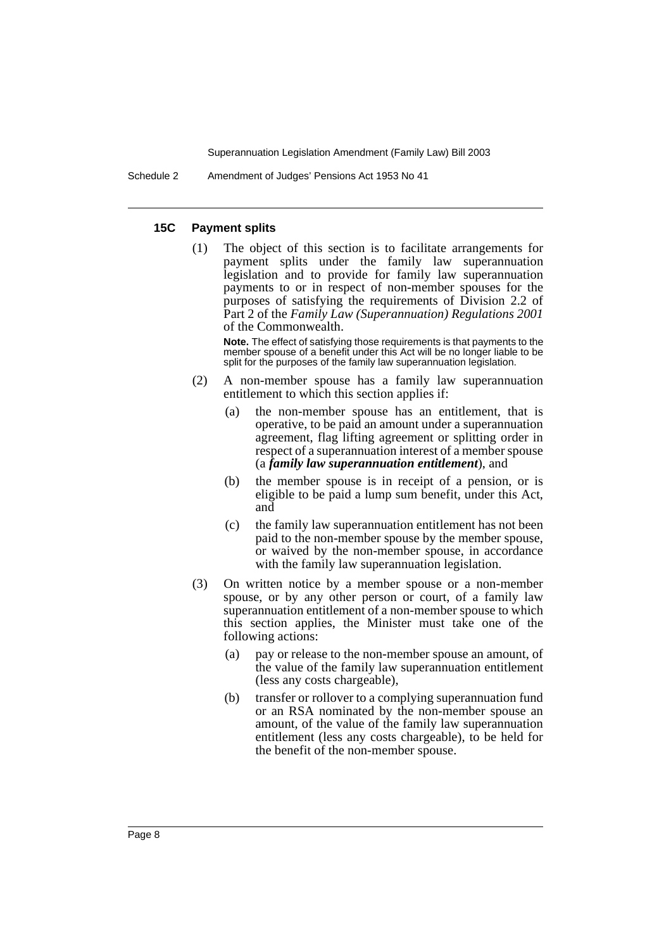Schedule 2 Amendment of Judges' Pensions Act 1953 No 41

#### **15C Payment splits**

(1) The object of this section is to facilitate arrangements for payment splits under the family law superannuation legislation and to provide for family law superannuation payments to or in respect of non-member spouses for the purposes of satisfying the requirements of Division 2.2 of Part 2 of the *Family Law (Superannuation) Regulations 2001* of the Commonwealth.

**Note.** The effect of satisfying those requirements is that payments to the member spouse of a benefit under this Act will be no longer liable to be split for the purposes of the family law superannuation legislation.

- (2) A non-member spouse has a family law superannuation entitlement to which this section applies if:
	- (a) the non-member spouse has an entitlement, that is operative, to be paid an amount under a superannuation agreement, flag lifting agreement or splitting order in respect of a superannuation interest of a member spouse (a *family law superannuation entitlement*), and
	- (b) the member spouse is in receipt of a pension, or is eligible to be paid a lump sum benefit, under this Act, and
	- (c) the family law superannuation entitlement has not been paid to the non-member spouse by the member spouse, or waived by the non-member spouse, in accordance with the family law superannuation legislation.
- (3) On written notice by a member spouse or a non-member spouse, or by any other person or court, of a family law superannuation entitlement of a non-member spouse to which this section applies, the Minister must take one of the following actions:
	- (a) pay or release to the non-member spouse an amount, of the value of the family law superannuation entitlement (less any costs chargeable),
	- (b) transfer or rollover to a complying superannuation fund or an RSA nominated by the non-member spouse an amount, of the value of the family law superannuation entitlement (less any costs chargeable), to be held for the benefit of the non-member spouse.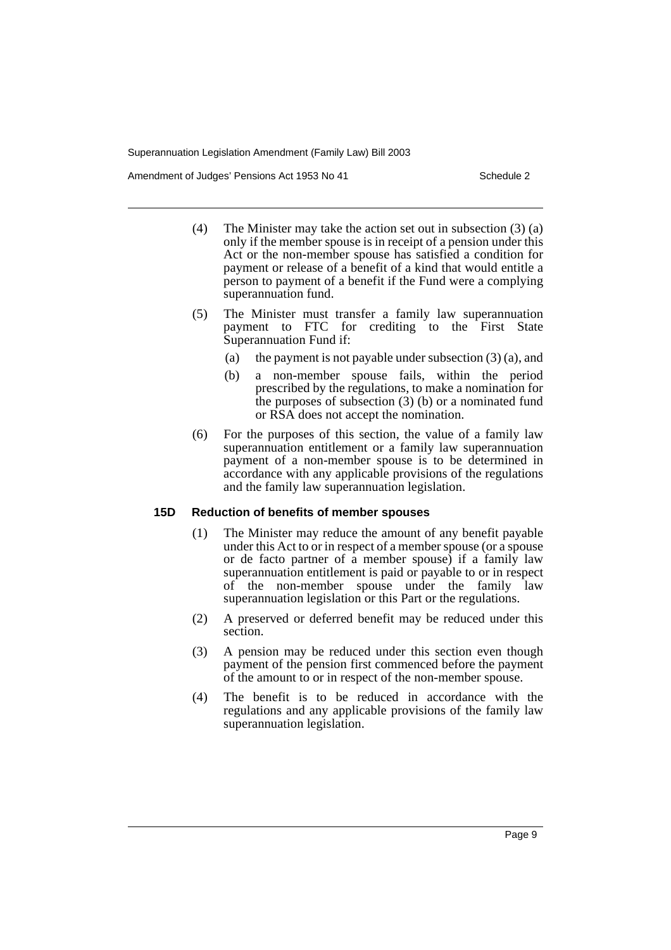Amendment of Judges' Pensions Act 1953 No 41 Schedule 2

- (4) The Minister may take the action set out in subsection (3) (a) only if the member spouse is in receipt of a pension under this Act or the non-member spouse has satisfied a condition for payment or release of a benefit of a kind that would entitle a person to payment of a benefit if the Fund were a complying superannuation fund.
- (5) The Minister must transfer a family law superannuation payment to FTC for crediting to the First State Superannuation Fund if:
	- (a) the payment is not payable under subsection  $(3)$  (a), and
	- (b) a non-member spouse fails, within the period prescribed by the regulations, to make a nomination for the purposes of subsection  $(3)$  (b) or a nominated fund or RSA does not accept the nomination.
- (6) For the purposes of this section, the value of a family law superannuation entitlement or a family law superannuation payment of a non-member spouse is to be determined in accordance with any applicable provisions of the regulations and the family law superannuation legislation.

# **15D Reduction of benefits of member spouses**

- (1) The Minister may reduce the amount of any benefit payable under this Act to or in respect of a member spouse (or a spouse or de facto partner of a member spouse) if a family law superannuation entitlement is paid or payable to or in respect of the non-member spouse under the family law superannuation legislation or this Part or the regulations.
- (2) A preserved or deferred benefit may be reduced under this section.
- (3) A pension may be reduced under this section even though payment of the pension first commenced before the payment of the amount to or in respect of the non-member spouse.
- (4) The benefit is to be reduced in accordance with the regulations and any applicable provisions of the family law superannuation legislation.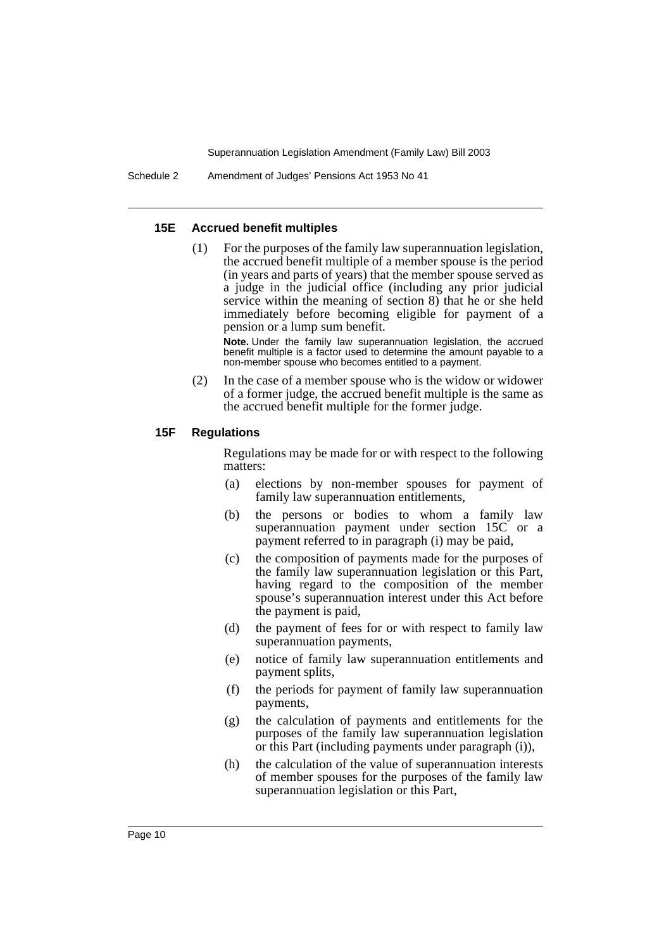#### **15E Accrued benefit multiples**

(1) For the purposes of the family law superannuation legislation, the accrued benefit multiple of a member spouse is the period (in years and parts of years) that the member spouse served as a judge in the judicial office (including any prior judicial service within the meaning of section 8) that he or she held immediately before becoming eligible for payment of a pension or a lump sum benefit.

Note. Under the family law superannuation legislation, the accrued benefit multiple is a factor used to determine the amount payable to a non-member spouse who becomes entitled to a payment.

(2) In the case of a member spouse who is the widow or widower of a former judge, the accrued benefit multiple is the same as the accrued benefit multiple for the former judge.

#### **15F Regulations**

Regulations may be made for or with respect to the following matters:

- (a) elections by non-member spouses for payment of family law superannuation entitlements,
- (b) the persons or bodies to whom a family law superannuation payment under section 15C or a payment referred to in paragraph (i) may be paid,
- (c) the composition of payments made for the purposes of the family law superannuation legislation or this Part, having regard to the composition of the member spouse's superannuation interest under this Act before the payment is paid,
- (d) the payment of fees for or with respect to family law superannuation payments,
- (e) notice of family law superannuation entitlements and payment splits,
- (f) the periods for payment of family law superannuation payments,
- (g) the calculation of payments and entitlements for the purposes of the family law superannuation legislation or this Part (including payments under paragraph (i)),
- (h) the calculation of the value of superannuation interests of member spouses for the purposes of the family law superannuation legislation or this Part,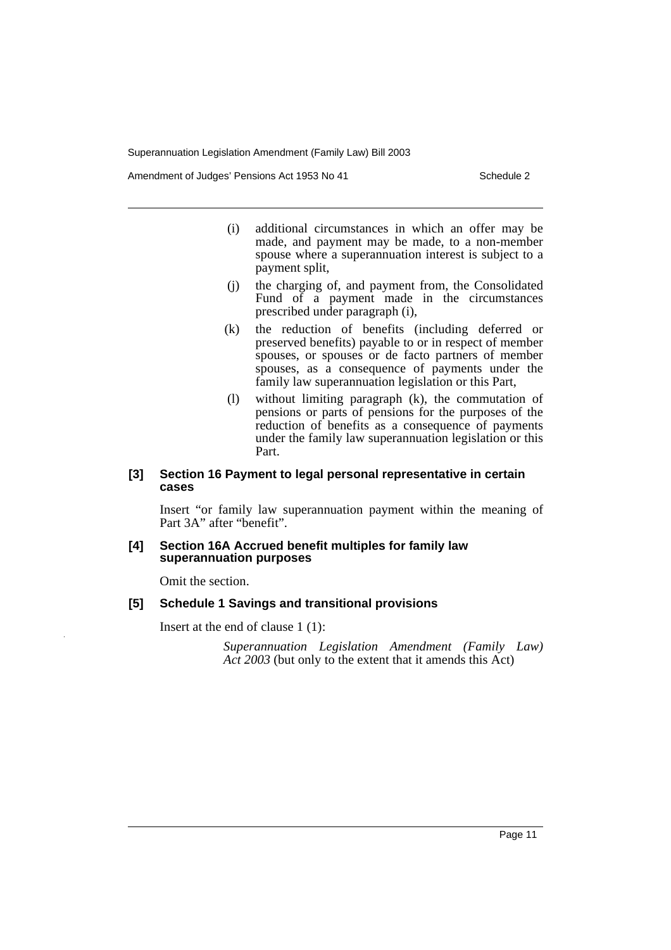Amendment of Judges' Pensions Act 1953 No 41

- (i) additional circumstances in which an offer may be made, and payment may be made, to a non-member spouse where a superannuation interest is subject to a payment split,
- (j) the charging of, and payment from, the Consolidated Fund of a payment made in the circumstances prescribed under paragraph (i),
- (k) the reduction of benefits (including deferred or preserved benefits) payable to or in respect of member spouses, or spouses or de facto partners of member spouses, as a consequence of payments under the family law superannuation legislation or this Part,
- (l) without limiting paragraph (k), the commutation of pensions or parts of pensions for the purposes of the reduction of benefits as a consequence of payments under the family law superannuation legislation or this Part.

### **[3] Section 16 Payment to legal personal representative in certain cases**

Insert "or family law superannuation payment within the meaning of Part 3A" after "benefit".

#### **[4] Section 16A Accrued benefit multiples for family law superannuation purposes**

Omit the section.

# **[5] Schedule 1 Savings and transitional provisions**

Insert at the end of clause 1 (1):

*Superannuation Legislation Amendment (Family Law) Act 2003* (but only to the extent that it amends this Act)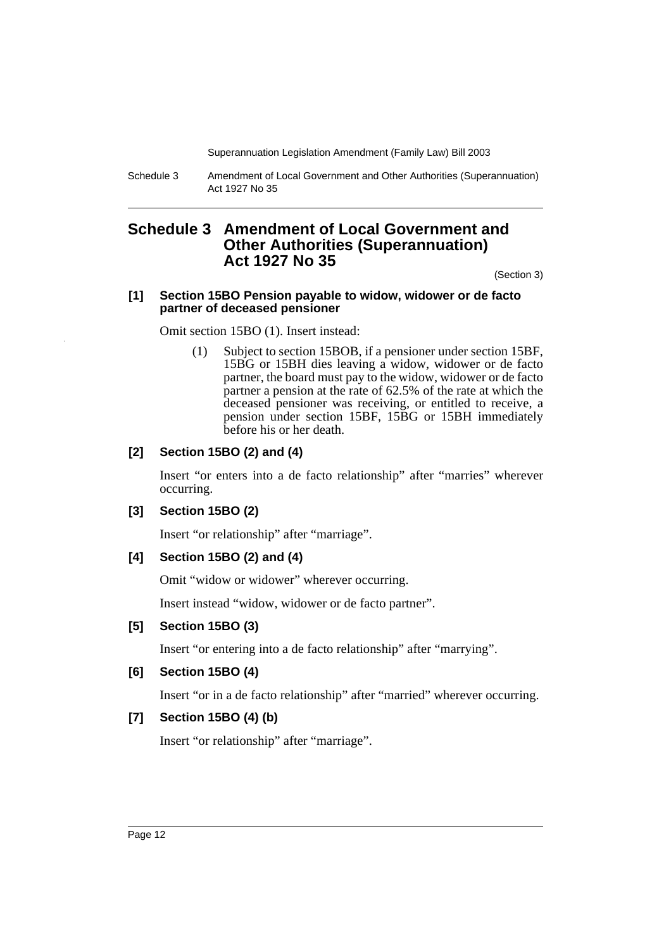Schedule 3 Amendment of Local Government and Other Authorities (Superannuation) Act 1927 No 35

# **Schedule 3 Amendment of Local Government and Other Authorities (Superannuation) Act 1927 No 35**

(Section 3)

#### **[1] Section 15BO Pension payable to widow, widower or de facto partner of deceased pensioner**

Omit section 15BO (1). Insert instead:

(1) Subject to section 15BOB, if a pensioner under section 15BF, 15BG or 15BH dies leaving a widow, widower or de facto partner, the board must pay to the widow, widower or de facto partner a pension at the rate of 62.5% of the rate at which the deceased pensioner was receiving, or entitled to receive, a pension under section 15BF, 15BG or 15BH immediately before his or her death.

# **[2] Section 15BO (2) and (4)**

Insert "or enters into a de facto relationship" after "marries" wherever occurring.

#### **[3] Section 15BO (2)**

Insert "or relationship" after "marriage".

# **[4] Section 15BO (2) and (4)**

Omit "widow or widower" wherever occurring.

Insert instead "widow, widower or de facto partner".

# **[5] Section 15BO (3)**

Insert "or entering into a de facto relationship" after "marrying".

# **[6] Section 15BO (4)**

Insert "or in a de facto relationship" after "married" wherever occurring.

# **[7] Section 15BO (4) (b)**

Insert "or relationship" after "marriage".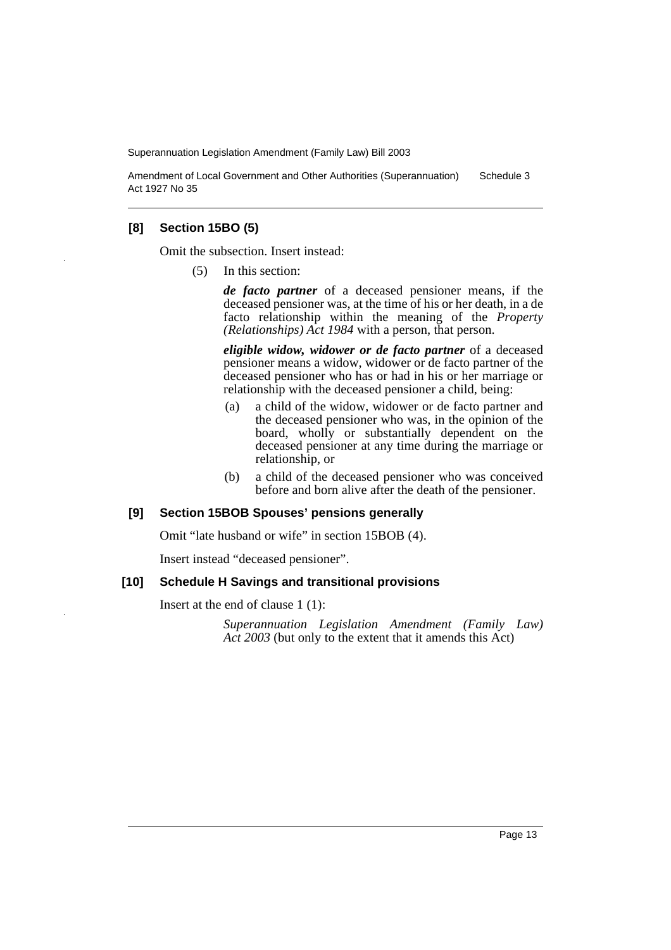Amendment of Local Government and Other Authorities (Superannuation) Act 1927 No 35 Schedule 3

# **[8] Section 15BO (5)**

Omit the subsection. Insert instead:

(5) In this section:

*de facto partner* of a deceased pensioner means, if the deceased pensioner was, at the time of his or her death, in a de facto relationship within the meaning of the *Property (Relationships) Act 1984* with a person, that person.

*eligible widow, widower or de facto partner* of a deceased pensioner means a widow, widower or de facto partner of the deceased pensioner who has or had in his or her marriage or relationship with the deceased pensioner a child, being:

- (a) a child of the widow, widower or de facto partner and the deceased pensioner who was, in the opinion of the board, wholly or substantially dependent on the deceased pensioner at any time during the marriage or relationship, or
- (b) a child of the deceased pensioner who was conceived before and born alive after the death of the pensioner.

# **[9] Section 15BOB Spouses' pensions generally**

Omit "late husband or wife" in section 15BOB (4).

Insert instead "deceased pensioner".

#### **[10] Schedule H Savings and transitional provisions**

Insert at the end of clause 1 (1):

*Superannuation Legislation Amendment (Family Law) Act 2003* (but only to the extent that it amends this Act)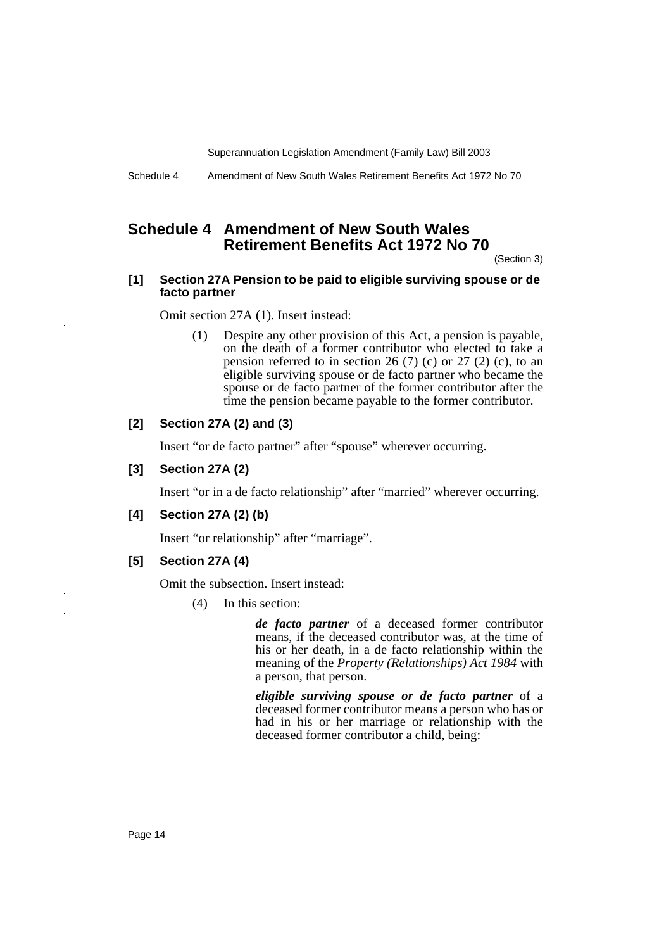Schedule 4 Amendment of New South Wales Retirement Benefits Act 1972 No 70

# **Schedule 4 Amendment of New South Wales Retirement Benefits Act 1972 No 70**

(Section 3)

### **[1] Section 27A Pension to be paid to eligible surviving spouse or de facto partner**

Omit section 27A (1). Insert instead:

(1) Despite any other provision of this Act, a pension is payable, on the death of a former contributor who elected to take a pension referred to in section 26 (7) (c) or 27 (2) (c), to an eligible surviving spouse or de facto partner who became the spouse or de facto partner of the former contributor after the time the pension became payable to the former contributor.

# **[2] Section 27A (2) and (3)**

Insert "or de facto partner" after "spouse" wherever occurring.

# **[3] Section 27A (2)**

Insert "or in a de facto relationship" after "married" wherever occurring.

# **[4] Section 27A (2) (b)**

Insert "or relationship" after "marriage".

**[5] Section 27A (4)**

Omit the subsection. Insert instead:

(4) In this section:

*de facto partner* of a deceased former contributor means, if the deceased contributor was, at the time of his or her death, in a de facto relationship within the meaning of the *Property (Relationships) Act 1984* with a person, that person.

*eligible surviving spouse or de facto partner* of a deceased former contributor means a person who has or had in his or her marriage or relationship with the deceased former contributor a child, being: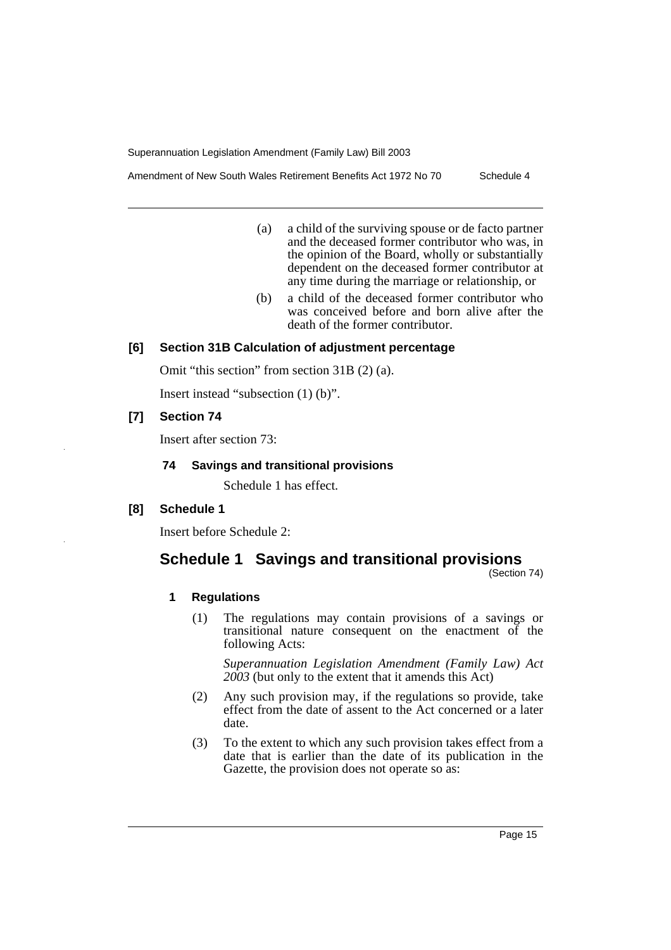Amendment of New South Wales Retirement Benefits Act 1972 No 70 Schedule 4

- (a) a child of the surviving spouse or de facto partner and the deceased former contributor who was, in the opinion of the Board, wholly or substantially dependent on the deceased former contributor at any time during the marriage or relationship, or
- (b) a child of the deceased former contributor who was conceived before and born alive after the death of the former contributor.

# **[6] Section 31B Calculation of adjustment percentage**

Omit "this section" from section 31B (2) (a).

Insert instead "subsection (1) (b)".

# **[7] Section 74**

Insert after section 73:

# **74 Savings and transitional provisions**

Schedule 1 has effect.

# **[8] Schedule 1**

Insert before Schedule 2:

# **Schedule 1 Savings and transitional provisions**

(Section 74)

# **1 Regulations**

(1) The regulations may contain provisions of a savings or transitional nature consequent on the enactment of the following Acts:

*Superannuation Legislation Amendment (Family Law) Act 2003* (but only to the extent that it amends this Act)

- (2) Any such provision may, if the regulations so provide, take effect from the date of assent to the Act concerned or a later date.
- (3) To the extent to which any such provision takes effect from a date that is earlier than the date of its publication in the Gazette, the provision does not operate so as: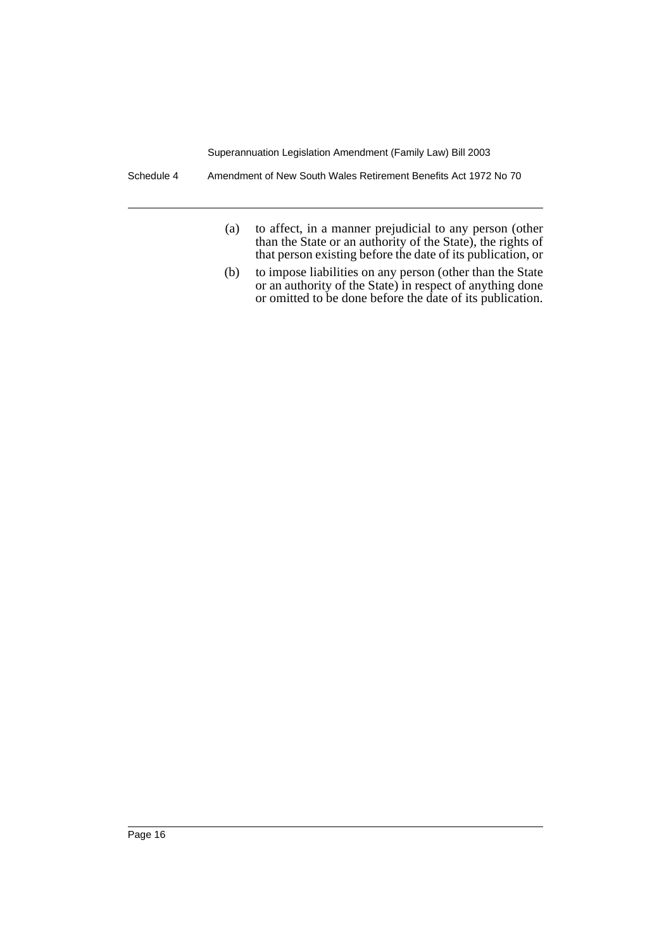Schedule 4 Amendment of New South Wales Retirement Benefits Act 1972 No 70

- (a) to affect, in a manner prejudicial to any person (other than the State or an authority of the State), the rights of that person existing before the date of its publication, or
- (b) to impose liabilities on any person (other than the State or an authority of the State) in respect of anything done or omitted to be done before the date of its publication.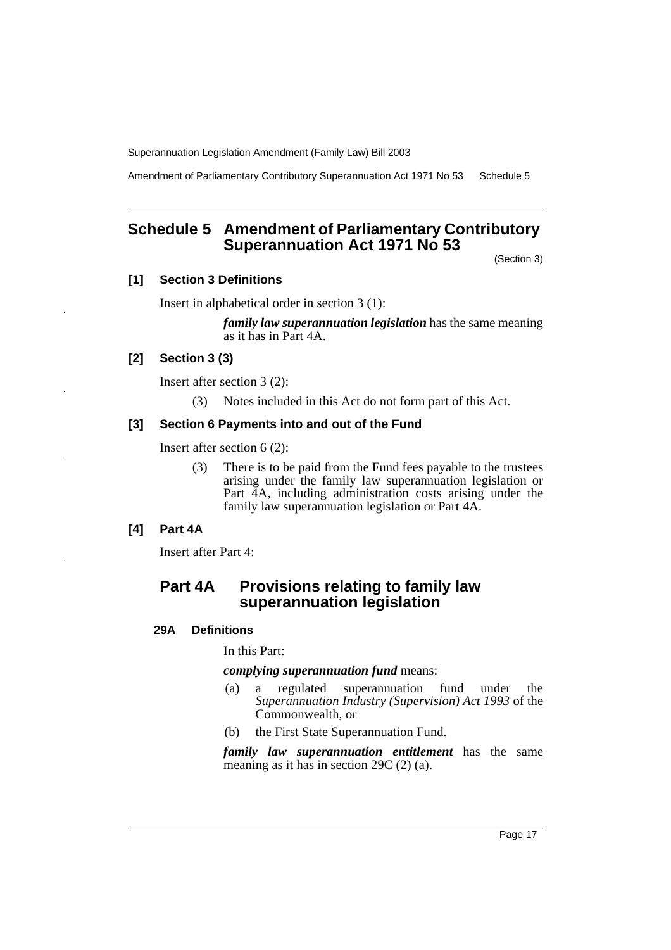Amendment of Parliamentary Contributory Superannuation Act 1971 No 53 Schedule 5

# **Schedule 5 Amendment of Parliamentary Contributory Superannuation Act 1971 No 53**

(Section 3)

# **[1] Section 3 Definitions**

Insert in alphabetical order in section 3 (1):

*family law superannuation legislation* has the same meaning as it has in Part 4A.

# **[2] Section 3 (3)**

Insert after section 3 (2):

(3) Notes included in this Act do not form part of this Act.

# **[3] Section 6 Payments into and out of the Fund**

Insert after section 6 (2):

(3) There is to be paid from the Fund fees payable to the trustees arising under the family law superannuation legislation or Part 4A, including administration costs arising under the family law superannuation legislation or Part 4A.

#### **[4] Part 4A**

Insert after Part 4:

# **Part 4A Provisions relating to family law superannuation legislation**

### **29A Definitions**

In this Part:

#### *complying superannuation fund* means:

- (a) a regulated superannuation fund under the *Superannuation Industry (Supervision) Act 1993* of the Commonwealth, or
- (b) the First State Superannuation Fund.

*family law superannuation entitlement* has the same meaning as it has in section 29C (2) (a).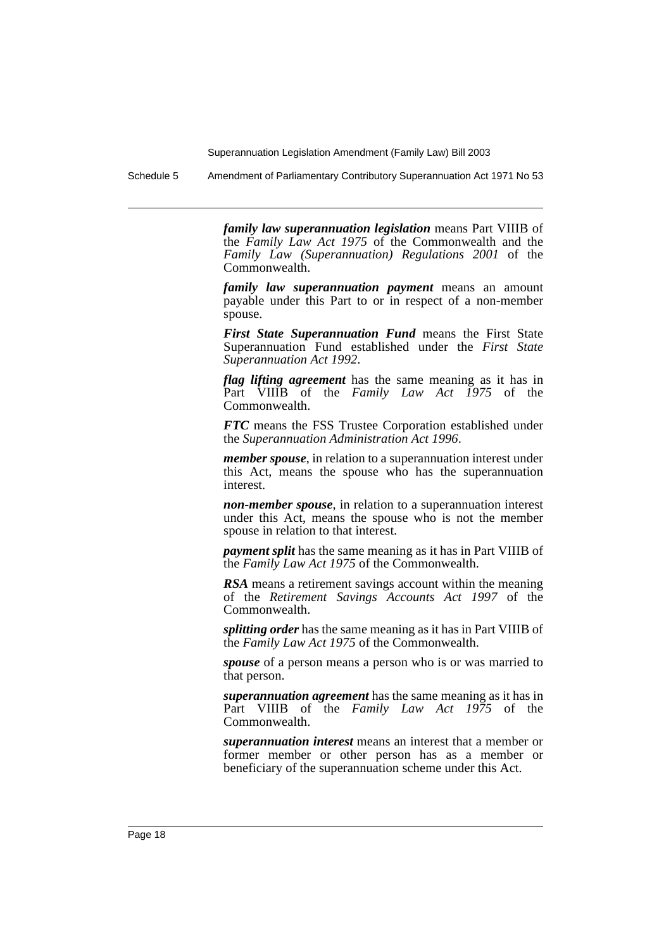Schedule 5 Amendment of Parliamentary Contributory Superannuation Act 1971 No 53

*family law superannuation legislation* means Part VIIIB of the *Family Law Act 1975* of the Commonwealth and the *Family Law (Superannuation) Regulations 2001* of the Commonwealth.

*family law superannuation payment* means an amount payable under this Part to or in respect of a non-member spouse.

*First State Superannuation Fund* means the First State Superannuation Fund established under the *First State Superannuation Act 1992*.

*flag lifting agreement* has the same meaning as it has in Part VIIIB of the *Family Law Act 1975* of the Commonwealth.

*FTC* means the FSS Trustee Corporation established under the *Superannuation Administration Act 1996*.

*member spouse*, in relation to a superannuation interest under this Act, means the spouse who has the superannuation interest.

*non-member spouse*, in relation to a superannuation interest under this Act, means the spouse who is not the member spouse in relation to that interest.

*payment split* has the same meaning as it has in Part VIIIB of the *Family Law Act 1975* of the Commonwealth.

*RSA* means a retirement savings account within the meaning of the *Retirement Savings Accounts Act 1997* of the Commonwealth.

*splitting order* has the same meaning as it has in Part VIIIB of the *Family Law Act 1975* of the Commonwealth.

*spouse* of a person means a person who is or was married to that person.

*superannuation agreement* has the same meaning as it has in Part VIIIB of the *Family Law Act 1975* of the Commonwealth.

*superannuation interest* means an interest that a member or former member or other person has as a member or beneficiary of the superannuation scheme under this Act.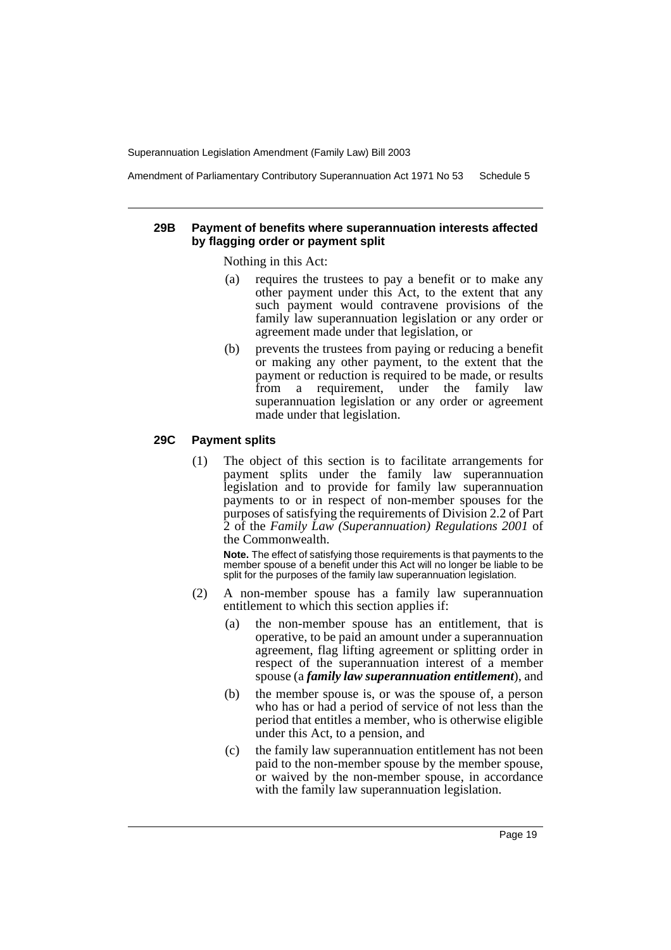Amendment of Parliamentary Contributory Superannuation Act 1971 No 53 Schedule 5

#### **29B Payment of benefits where superannuation interests affected by flagging order or payment split**

Nothing in this Act:

- (a) requires the trustees to pay a benefit or to make any other payment under this Act, to the extent that any such payment would contravene provisions of the family law superannuation legislation or any order or agreement made under that legislation, or
- (b) prevents the trustees from paying or reducing a benefit or making any other payment, to the extent that the payment or reduction is required to be made, or results from a requirement, under the family law superannuation legislation or any order or agreement made under that legislation.

# **29C Payment splits**

(1) The object of this section is to facilitate arrangements for payment splits under the family law superannuation legislation and to provide for family law superannuation payments to or in respect of non-member spouses for the purposes of satisfying the requirements of Division 2.2 of Part 2 of the *Family Law (Superannuation) Regulations 2001* of the Commonwealth.

**Note.** The effect of satisfying those requirements is that payments to the member spouse of a benefit under this Act will no longer be liable to be split for the purposes of the family law superannuation legislation.

- (2) A non-member spouse has a family law superannuation entitlement to which this section applies if:
	- (a) the non-member spouse has an entitlement, that is operative, to be paid an amount under a superannuation agreement, flag lifting agreement or splitting order in respect of the superannuation interest of a member spouse (a *family law superannuation entitlement*), and
	- (b) the member spouse is, or was the spouse of, a person who has or had a period of service of not less than the period that entitles a member, who is otherwise eligible under this Act, to a pension, and
	- (c) the family law superannuation entitlement has not been paid to the non-member spouse by the member spouse, or waived by the non-member spouse, in accordance with the family law superannuation legislation.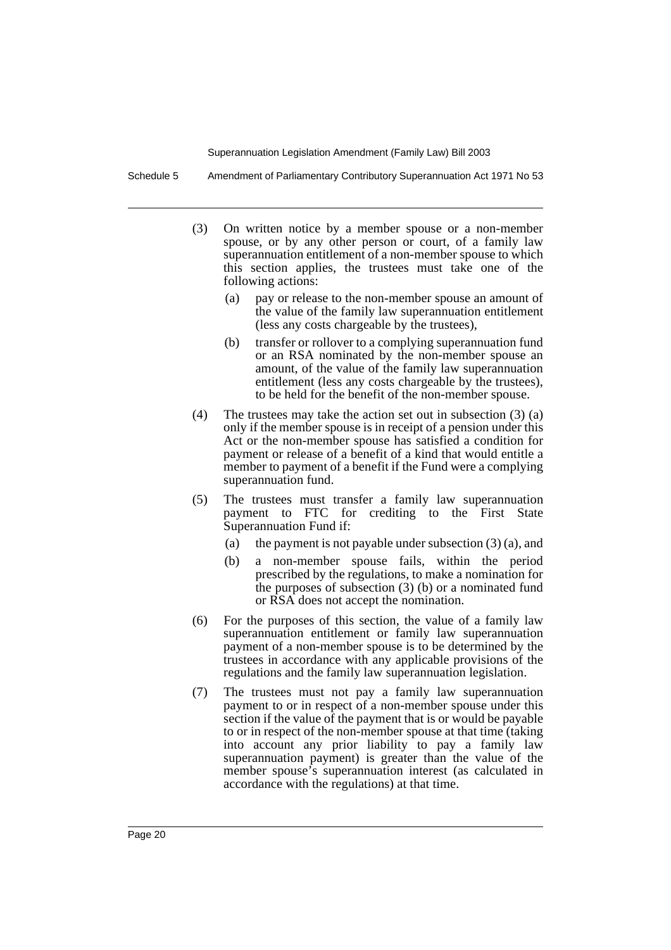Schedule 5 Amendment of Parliamentary Contributory Superannuation Act 1971 No 53

- (3) On written notice by a member spouse or a non-member spouse, or by any other person or court, of a family law superannuation entitlement of a non-member spouse to which this section applies, the trustees must take one of the following actions:
	- (a) pay or release to the non-member spouse an amount of the value of the family law superannuation entitlement (less any costs chargeable by the trustees),
	- (b) transfer or rollover to a complying superannuation fund or an RSA nominated by the non-member spouse an amount, of the value of the family law superannuation entitlement (less any costs chargeable by the trustees), to be held for the benefit of the non-member spouse.
- (4) The trustees may take the action set out in subsection (3) (a) only if the member spouse is in receipt of a pension under this Act or the non-member spouse has satisfied a condition for payment or release of a benefit of a kind that would entitle a member to payment of a benefit if the Fund were a complying superannuation fund.
- (5) The trustees must transfer a family law superannuation payment to FTC for crediting to the First State Superannuation Fund if:
	- (a) the payment is not payable under subsection (3) (a), and
	- (b) a non-member spouse fails, within the period prescribed by the regulations, to make a nomination for the purposes of subsection  $(3)$  (b) or a nominated fund or RSA does not accept the nomination.
- (6) For the purposes of this section, the value of a family law superannuation entitlement or family law superannuation payment of a non-member spouse is to be determined by the trustees in accordance with any applicable provisions of the regulations and the family law superannuation legislation.
- (7) The trustees must not pay a family law superannuation payment to or in respect of a non-member spouse under this section if the value of the payment that is or would be payable to or in respect of the non-member spouse at that time (taking into account any prior liability to pay a family law superannuation payment) is greater than the value of the member spouse's superannuation interest (as calculated in accordance with the regulations) at that time.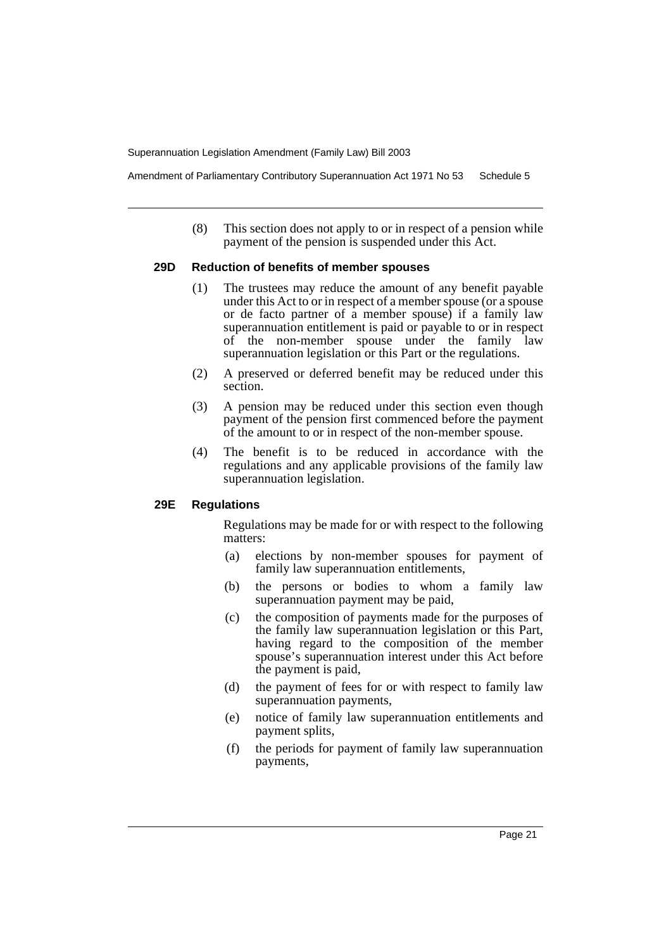Amendment of Parliamentary Contributory Superannuation Act 1971 No 53 Schedule 5

(8) This section does not apply to or in respect of a pension while payment of the pension is suspended under this Act.

#### **29D Reduction of benefits of member spouses**

- (1) The trustees may reduce the amount of any benefit payable under this Act to or in respect of a member spouse (or a spouse or de facto partner of a member spouse) if a family law superannuation entitlement is paid or payable to or in respect of the non-member spouse under the family law superannuation legislation or this Part or the regulations.
- (2) A preserved or deferred benefit may be reduced under this section.
- (3) A pension may be reduced under this section even though payment of the pension first commenced before the payment of the amount to or in respect of the non-member spouse.
- (4) The benefit is to be reduced in accordance with the regulations and any applicable provisions of the family law superannuation legislation.

# **29E Regulations**

Regulations may be made for or with respect to the following matters:

- (a) elections by non-member spouses for payment of family law superannuation entitlements,
- (b) the persons or bodies to whom a family law superannuation payment may be paid,
- (c) the composition of payments made for the purposes of the family law superannuation legislation or this Part, having regard to the composition of the member spouse's superannuation interest under this Act before the payment is paid,
- (d) the payment of fees for or with respect to family law superannuation payments,
- (e) notice of family law superannuation entitlements and payment splits,
- (f) the periods for payment of family law superannuation payments,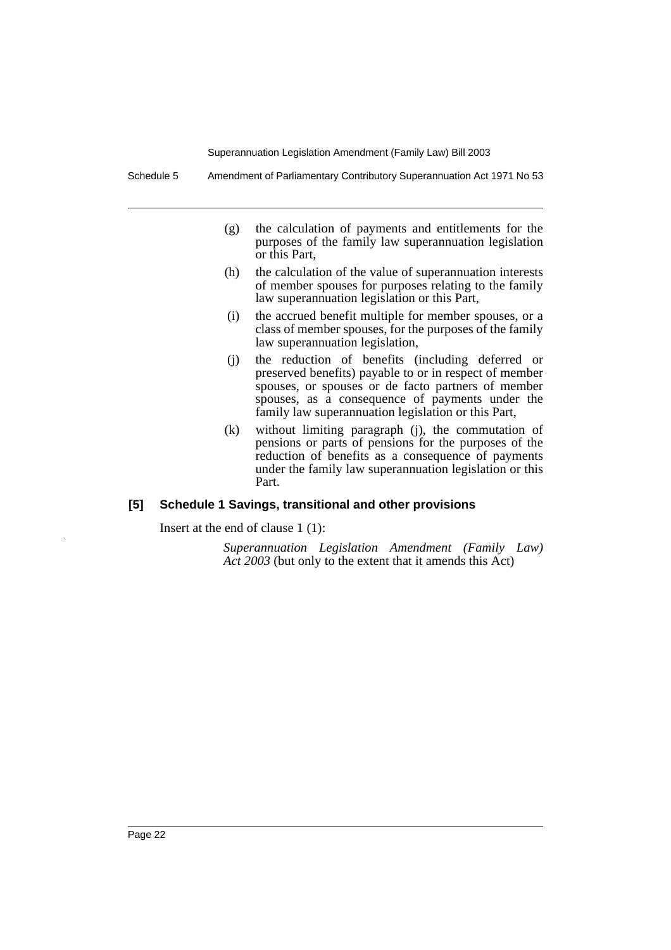Schedule 5 Amendment of Parliamentary Contributory Superannuation Act 1971 No 53

- (g) the calculation of payments and entitlements for the purposes of the family law superannuation legislation or this Part,
- (h) the calculation of the value of superannuation interests of member spouses for purposes relating to the family law superannuation legislation or this Part,
- (i) the accrued benefit multiple for member spouses, or a class of member spouses, for the purposes of the family law superannuation legislation,
- (j) the reduction of benefits (including deferred or preserved benefits) payable to or in respect of member spouses, or spouses or de facto partners of member spouses, as a consequence of payments under the family law superannuation legislation or this Part,
- (k) without limiting paragraph (j), the commutation of pensions or parts of pensions for the purposes of the reduction of benefits as a consequence of payments under the family law superannuation legislation or this Part.

# **[5] Schedule 1 Savings, transitional and other provisions**

Insert at the end of clause 1 (1):

*Superannuation Legislation Amendment (Family Law) Act 2003* (but only to the extent that it amends this Act)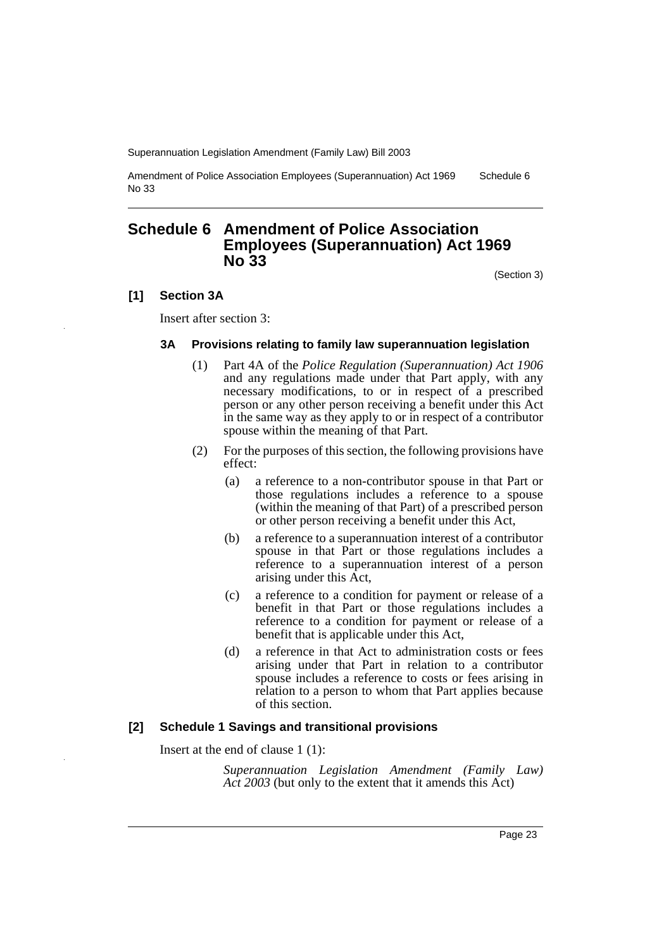Amendment of Police Association Employees (Superannuation) Act 1969 No 33 Schedule 6

# **Schedule 6 Amendment of Police Association Employees (Superannuation) Act 1969 No 33**

(Section 3)

#### **[1] Section 3A**

Insert after section 3:

#### **3A Provisions relating to family law superannuation legislation**

- (1) Part 4A of the *Police Regulation (Superannuation) Act 1906* and any regulations made under that Part apply, with any necessary modifications, to or in respect of a prescribed person or any other person receiving a benefit under this Act in the same way as they apply to or in respect of a contributor spouse within the meaning of that Part.
- (2) For the purposes of this section, the following provisions have effect:
	- (a) a reference to a non-contributor spouse in that Part or those regulations includes a reference to a spouse (within the meaning of that Part) of a prescribed person or other person receiving a benefit under this Act,
	- (b) a reference to a superannuation interest of a contributor spouse in that Part or those regulations includes a reference to a superannuation interest of a person arising under this Act,
	- (c) a reference to a condition for payment or release of a benefit in that Part or those regulations includes a reference to a condition for payment or release of a benefit that is applicable under this Act,
	- (d) a reference in that Act to administration costs or fees arising under that Part in relation to a contributor spouse includes a reference to costs or fees arising in relation to a person to whom that Part applies because of this section.

### **[2] Schedule 1 Savings and transitional provisions**

Insert at the end of clause 1 (1):

*Superannuation Legislation Amendment (Family Law) Act 2003* (but only to the extent that it amends this Act)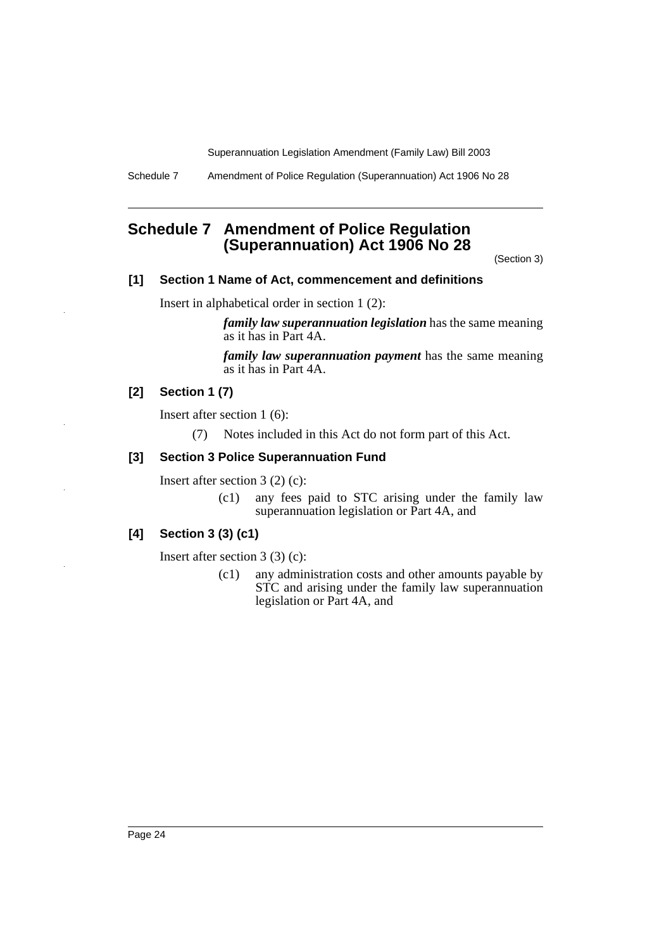Schedule 7 Amendment of Police Regulation (Superannuation) Act 1906 No 28

# **Schedule 7 Amendment of Police Regulation (Superannuation) Act 1906 No 28**

(Section 3)

# **[1] Section 1 Name of Act, commencement and definitions**

Insert in alphabetical order in section 1 (2):

*family law superannuation legislation* has the same meaning as it has in Part 4A.

*family law superannuation payment* has the same meaning as it has in Part 4A.

# **[2] Section 1 (7)**

Insert after section 1 (6):

(7) Notes included in this Act do not form part of this Act.

#### **[3] Section 3 Police Superannuation Fund**

Insert after section 3 (2) (c):

(c1) any fees paid to STC arising under the family law superannuation legislation or Part 4A, and

# **[4] Section 3 (3) (c1)**

Insert after section 3 (3) (c):

(c1) any administration costs and other amounts payable by STC and arising under the family law superannuation legislation or Part 4A, and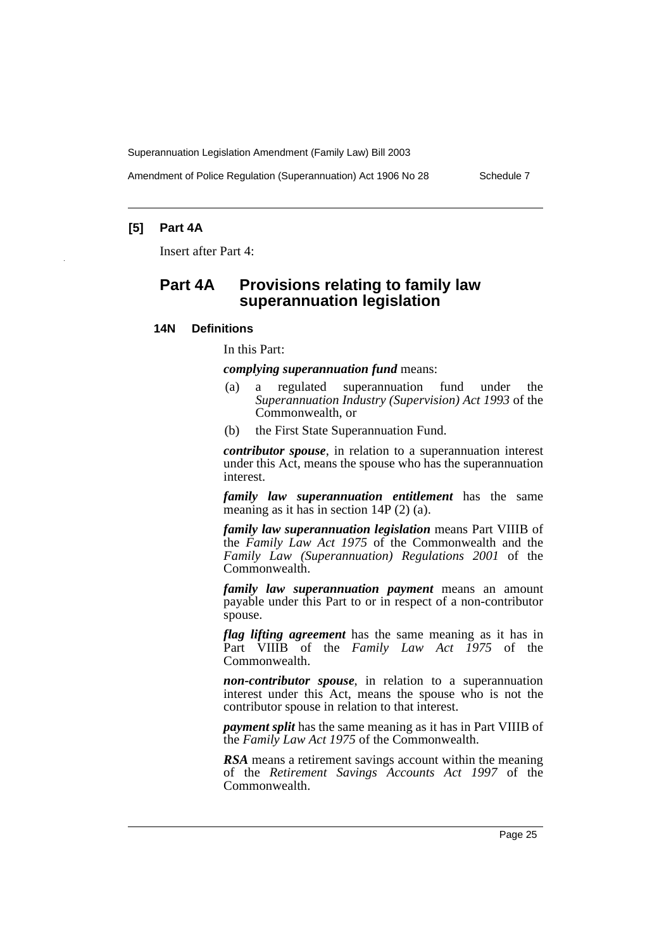Amendment of Police Regulation (Superannuation) Act 1906 No 28 Schedule 7

# **[5] Part 4A**

Insert after Part 4:

# **Part 4A Provisions relating to family law superannuation legislation**

### **14N Definitions**

In this Part:

*complying superannuation fund* means:

- (a) a regulated superannuation fund under the *Superannuation Industry (Supervision) Act 1993* of the Commonwealth, or
- (b) the First State Superannuation Fund.

*contributor spouse*, in relation to a superannuation interest under this Act, means the spouse who has the superannuation interest.

*family law superannuation entitlement* has the same meaning as it has in section 14P (2) (a).

*family law superannuation legislation* means Part VIIIB of the *Family Law Act 1975* of the Commonwealth and the *Family Law (Superannuation) Regulations 2001* of the Commonwealth.

*family law superannuation payment* means an amount payable under this Part to or in respect of a non-contributor spouse.

*flag lifting agreement* has the same meaning as it has in Part VIIIB of the *Family Law Act 1975* of the Commonwealth.

*non-contributor spouse*, in relation to a superannuation interest under this Act, means the spouse who is not the contributor spouse in relation to that interest.

*payment split* has the same meaning as it has in Part VIIIB of the *Family Law Act 1975* of the Commonwealth.

*RSA* means a retirement savings account within the meaning of the *Retirement Savings Accounts Act 1997* of the Commonwealth.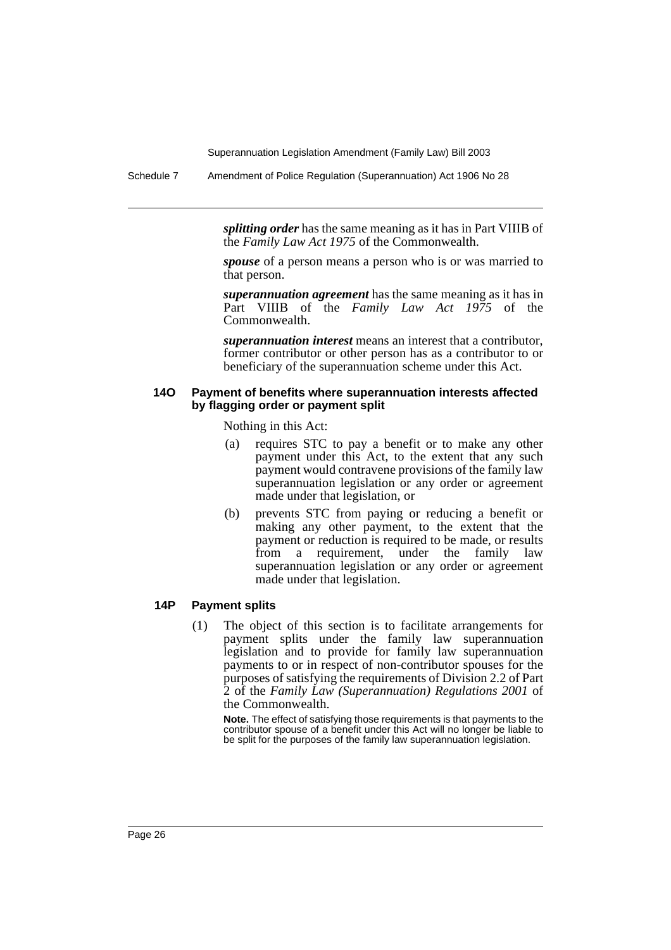Schedule 7 Amendment of Police Regulation (Superannuation) Act 1906 No 28

*splitting order* has the same meaning as it has in Part VIIIB of the *Family Law Act 1975* of the Commonwealth.

*spouse* of a person means a person who is or was married to that person.

*superannuation agreement* has the same meaning as it has in Part VIIIB of the *Family Law Act 1975* of the Commonwealth.

*superannuation interest* means an interest that a contributor, former contributor or other person has as a contributor to or beneficiary of the superannuation scheme under this Act.

#### **14O Payment of benefits where superannuation interests affected by flagging order or payment split**

Nothing in this Act:

- (a) requires STC to pay a benefit or to make any other payment under this Act, to the extent that any such payment would contravene provisions of the family law superannuation legislation or any order or agreement made under that legislation, or
- (b) prevents STC from paying or reducing a benefit or making any other payment, to the extent that the payment or reduction is required to be made, or results from a requirement, under the family law superannuation legislation or any order or agreement made under that legislation.

#### **14P Payment splits**

(1) The object of this section is to facilitate arrangements for payment splits under the family law superannuation legislation and to provide for family law superannuation payments to or in respect of non-contributor spouses for the purposes of satisfying the requirements of Division 2.2 of Part 2 of the *Family Law (Superannuation) Regulations 2001* of the Commonwealth.

**Note.** The effect of satisfying those requirements is that payments to the contributor spouse of a benefit under this Act will no longer be liable to be split for the purposes of the family law superannuation legislation.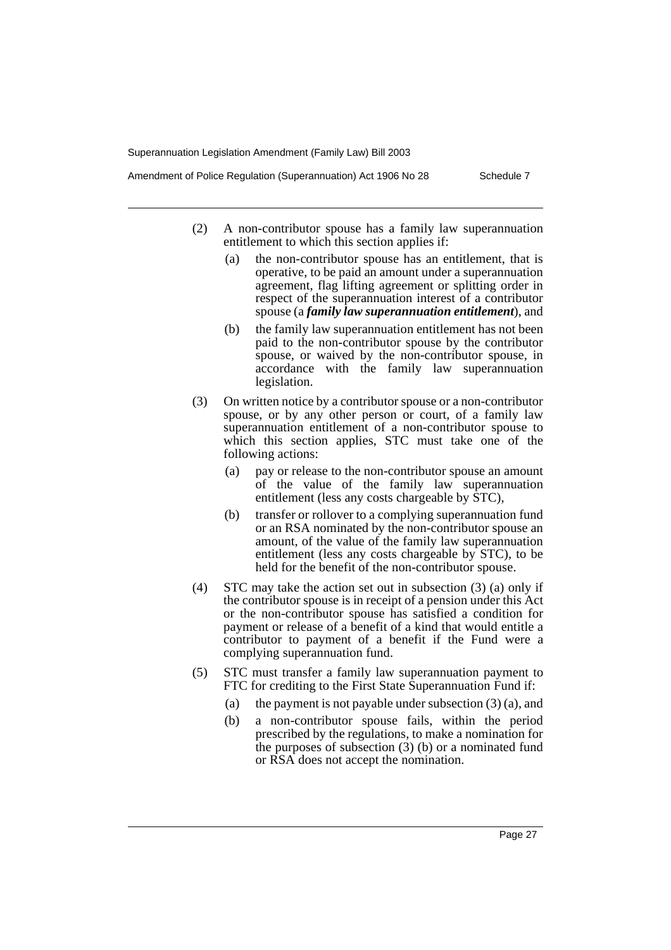Amendment of Police Regulation (Superannuation) Act 1906 No 28 Schedule 7

- (2) A non-contributor spouse has a family law superannuation entitlement to which this section applies if:
	- (a) the non-contributor spouse has an entitlement, that is operative, to be paid an amount under a superannuation agreement, flag lifting agreement or splitting order in respect of the superannuation interest of a contributor spouse (a *family law superannuation entitlement*), and
	- (b) the family law superannuation entitlement has not been paid to the non-contributor spouse by the contributor spouse, or waived by the non-contributor spouse, in accordance with the family law superannuation legislation.
- (3) On written notice by a contributor spouse or a non-contributor spouse, or by any other person or court, of a family law superannuation entitlement of a non-contributor spouse to which this section applies, STC must take one of the following actions:
	- (a) pay or release to the non-contributor spouse an amount of the value of the family law superannuation entitlement (less any costs chargeable by STC),
	- (b) transfer or rollover to a complying superannuation fund or an RSA nominated by the non-contributor spouse an amount, of the value of the family law superannuation entitlement (less any costs chargeable by STC), to be held for the benefit of the non-contributor spouse.
- (4) STC may take the action set out in subsection (3) (a) only if the contributor spouse is in receipt of a pension under this Act or the non-contributor spouse has satisfied a condition for payment or release of a benefit of a kind that would entitle a contributor to payment of a benefit if the Fund were a complying superannuation fund.
- (5) STC must transfer a family law superannuation payment to FTC for crediting to the First State Superannuation Fund if:
	- (a) the payment is not payable under subsection (3) (a), and
	- (b) a non-contributor spouse fails, within the period prescribed by the regulations, to make a nomination for the purposes of subsection (3) (b) or a nominated fund or RSA does not accept the nomination.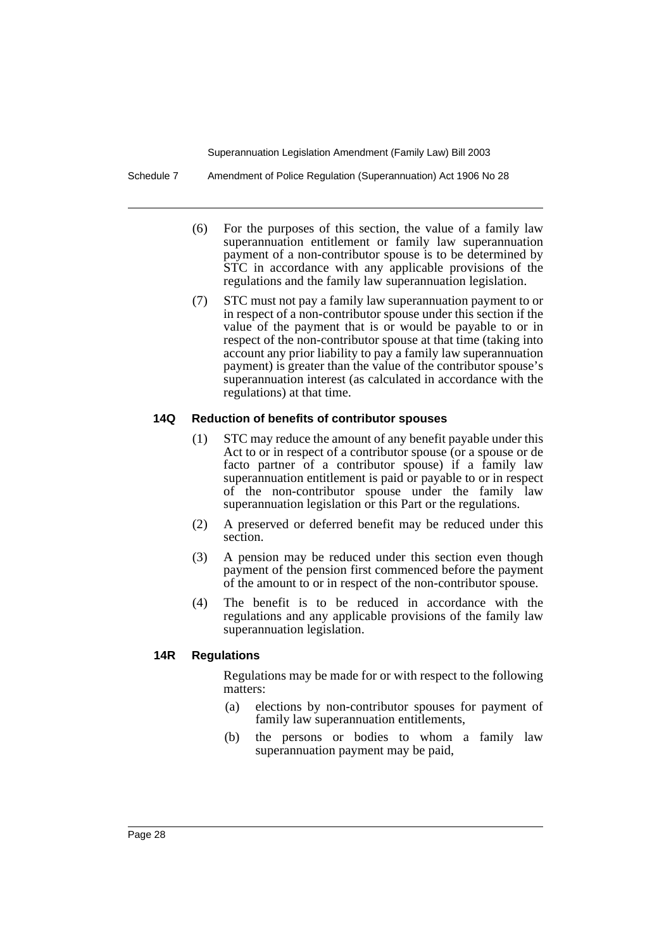Schedule 7 Amendment of Police Regulation (Superannuation) Act 1906 No 28

- (6) For the purposes of this section, the value of a family law superannuation entitlement or family law superannuation payment of a non-contributor spouse is to be determined by STC in accordance with any applicable provisions of the regulations and the family law superannuation legislation.
- (7) STC must not pay a family law superannuation payment to or in respect of a non-contributor spouse under this section if the value of the payment that is or would be payable to or in respect of the non-contributor spouse at that time (taking into account any prior liability to pay a family law superannuation payment) is greater than the value of the contributor spouse's superannuation interest (as calculated in accordance with the regulations) at that time.

#### **14Q Reduction of benefits of contributor spouses**

- (1) STC may reduce the amount of any benefit payable under this Act to or in respect of a contributor spouse (or a spouse or de facto partner of a contributor spouse) if a family law superannuation entitlement is paid or payable to or in respect of the non-contributor spouse under the family law superannuation legislation or this Part or the regulations.
- (2) A preserved or deferred benefit may be reduced under this section.
- (3) A pension may be reduced under this section even though payment of the pension first commenced before the payment of the amount to or in respect of the non-contributor spouse.
- (4) The benefit is to be reduced in accordance with the regulations and any applicable provisions of the family law superannuation legislation.

# **14R Regulations**

Regulations may be made for or with respect to the following matters:

- (a) elections by non-contributor spouses for payment of family law superannuation entitlements,
- (b) the persons or bodies to whom a family law superannuation payment may be paid,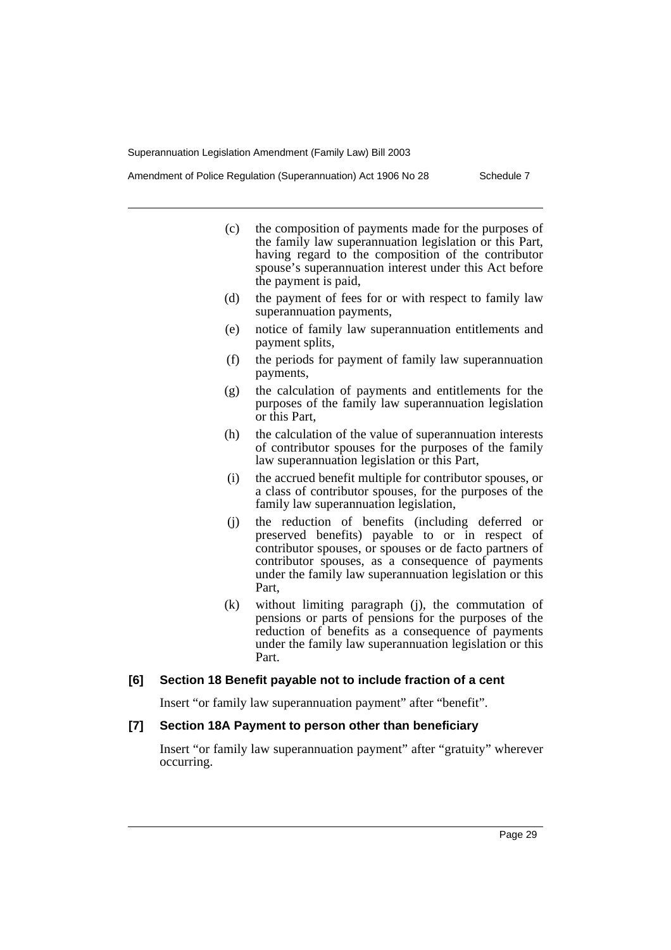Amendment of Police Regulation (Superannuation) Act 1906 No 28 Schedule 7

- (c) the composition of payments made for the purposes of the family law superannuation legislation or this Part, having regard to the composition of the contributor spouse's superannuation interest under this Act before the payment is paid,
- (d) the payment of fees for or with respect to family law superannuation payments,
- (e) notice of family law superannuation entitlements and payment splits,
- (f) the periods for payment of family law superannuation payments,
- (g) the calculation of payments and entitlements for the purposes of the family law superannuation legislation or this Part,
- (h) the calculation of the value of superannuation interests of contributor spouses for the purposes of the family law superannuation legislation or this Part,
- (i) the accrued benefit multiple for contributor spouses, or a class of contributor spouses, for the purposes of the family law superannuation legislation,
- (j) the reduction of benefits (including deferred or preserved benefits) payable to or in respect of contributor spouses, or spouses or de facto partners of contributor spouses, as a consequence of payments under the family law superannuation legislation or this Part,
- (k) without limiting paragraph (j), the commutation of pensions or parts of pensions for the purposes of the reduction of benefits as a consequence of payments under the family law superannuation legislation or this Part.

#### **[6] Section 18 Benefit payable not to include fraction of a cent**

Insert "or family law superannuation payment" after "benefit".

# **[7] Section 18A Payment to person other than beneficiary**

Insert "or family law superannuation payment" after "gratuity" wherever occurring.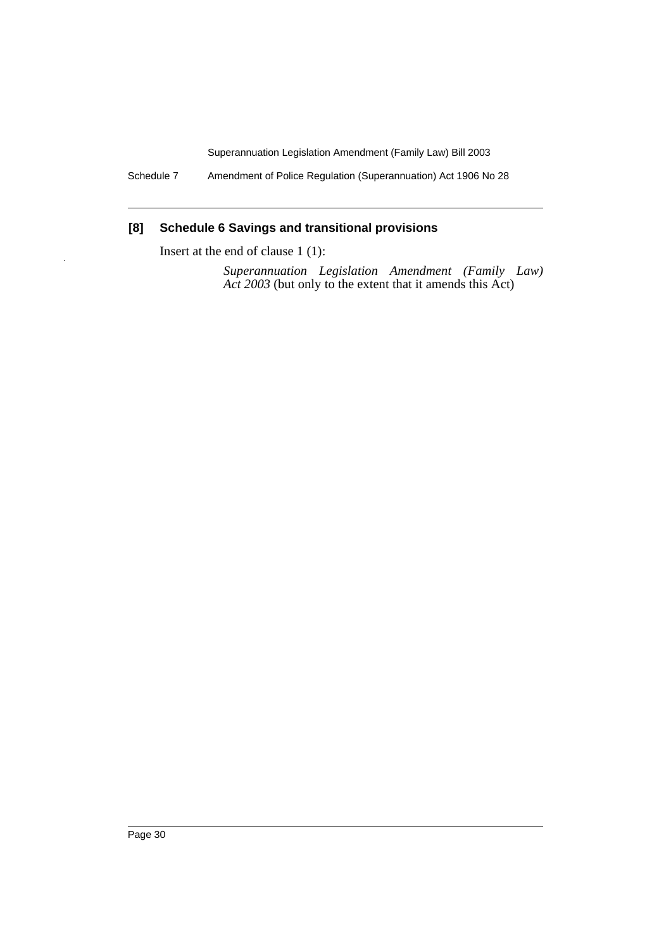Schedule 7 Amendment of Police Regulation (Superannuation) Act 1906 No 28

# **[8] Schedule 6 Savings and transitional provisions**

Insert at the end of clause 1 (1):

*Superannuation Legislation Amendment (Family Law) Act 2003* (but only to the extent that it amends this Act)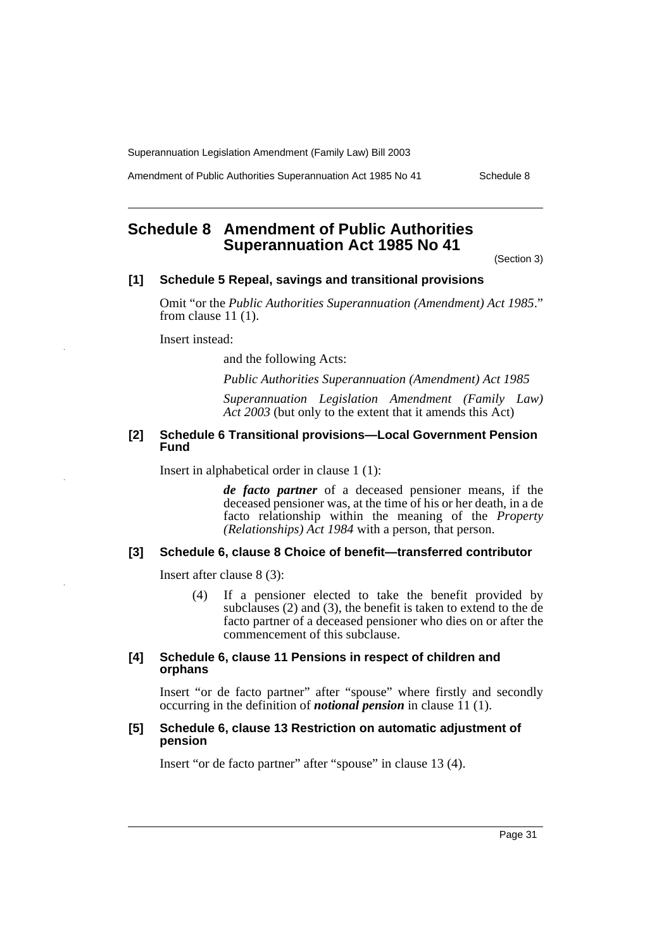Amendment of Public Authorities Superannuation Act 1985 No 41 Schedule 8

# **Schedule 8 Amendment of Public Authorities Superannuation Act 1985 No 41**

(Section 3)

#### **[1] Schedule 5 Repeal, savings and transitional provisions**

Omit "or the *Public Authorities Superannuation (Amendment) Act 1985*." from clause 11 (1).

Insert instead:

and the following Acts:

*Public Authorities Superannuation (Amendment) Act 1985*

*Superannuation Legislation Amendment (Family Law) Act 2003* (but only to the extent that it amends this Act)

### **[2] Schedule 6 Transitional provisions—Local Government Pension Fund**

Insert in alphabetical order in clause 1 (1):

*de facto partner* of a deceased pensioner means, if the deceased pensioner was, at the time of his or her death, in a de facto relationship within the meaning of the *Property (Relationships) Act 1984* with a person, that person.

# **[3] Schedule 6, clause 8 Choice of benefit—transferred contributor**

Insert after clause 8 (3):

(4) If a pensioner elected to take the benefit provided by subclauses (2) and (3), the benefit is taken to extend to the de facto partner of a deceased pensioner who dies on or after the commencement of this subclause.

#### **[4] Schedule 6, clause 11 Pensions in respect of children and orphans**

Insert "or de facto partner" after "spouse" where firstly and secondly occurring in the definition of *notional pension* in clause 11 (1).

#### **[5] Schedule 6, clause 13 Restriction on automatic adjustment of pension**

Insert "or de facto partner" after "spouse" in clause 13 (4).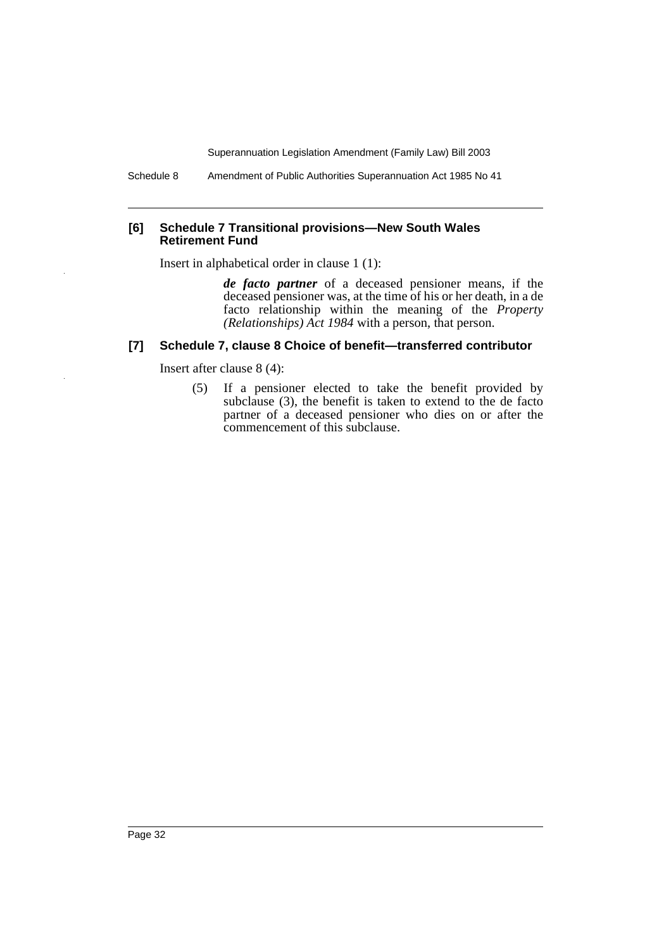Schedule 8 Amendment of Public Authorities Superannuation Act 1985 No 41

#### **[6] Schedule 7 Transitional provisions—New South Wales Retirement Fund**

Insert in alphabetical order in clause 1 (1):

*de facto partner* of a deceased pensioner means, if the deceased pensioner was, at the time of his or her death, in a de facto relationship within the meaning of the *Property (Relationships) Act 1984* with a person, that person.

# **[7] Schedule 7, clause 8 Choice of benefit—transferred contributor**

Insert after clause 8 (4):

(5) If a pensioner elected to take the benefit provided by subclause (3), the benefit is taken to extend to the de facto partner of a deceased pensioner who dies on or after the commencement of this subclause.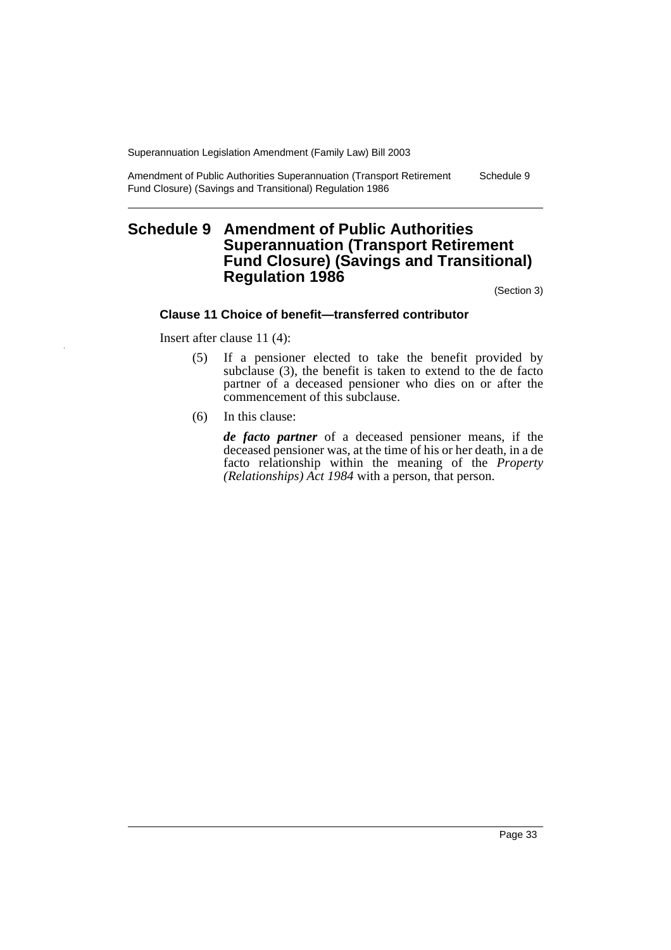Amendment of Public Authorities Superannuation (Transport Retirement Fund Closure) (Savings and Transitional) Regulation 1986 Schedule 9

# **Schedule 9 Amendment of Public Authorities Superannuation (Transport Retirement Fund Closure) (Savings and Transitional) Regulation 1986**

(Section 3)

#### **Clause 11 Choice of benefit—transferred contributor**

Insert after clause 11 (4):

- (5) If a pensioner elected to take the benefit provided by subclause (3), the benefit is taken to extend to the de facto partner of a deceased pensioner who dies on or after the commencement of this subclause.
- (6) In this clause:

*de facto partner* of a deceased pensioner means, if the deceased pensioner was, at the time of his or her death, in a de facto relationship within the meaning of the *Property (Relationships) Act 1984* with a person, that person.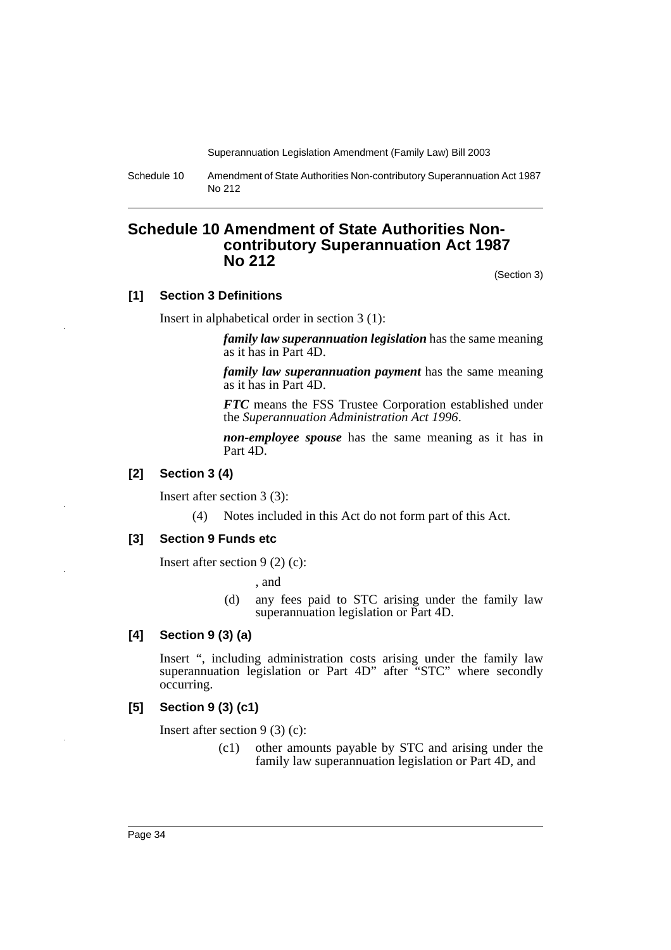Schedule 10 Amendment of State Authorities Non-contributory Superannuation Act 1987 No 212

# **Schedule 10 Amendment of State Authorities Noncontributory Superannuation Act 1987 No 212**

(Section 3)

#### **[1] Section 3 Definitions**

Insert in alphabetical order in section 3 (1):

*family law superannuation legislation* has the same meaning as it has in Part 4D.

*family law superannuation payment* has the same meaning as it has in Part 4D.

*FTC* means the FSS Trustee Corporation established under the *Superannuation Administration Act 1996*.

*non-employee spouse* has the same meaning as it has in Part 4D.

# **[2] Section 3 (4)**

Insert after section 3 (3):

(4) Notes included in this Act do not form part of this Act.

#### **[3] Section 9 Funds etc**

Insert after section 9 (2) (c):

, and

(d) any fees paid to STC arising under the family law superannuation legislation or Part 4D.

# **[4] Section 9 (3) (a)**

Insert ", including administration costs arising under the family law superannuation legislation or Part 4D" after "STC" where secondly occurring.

#### **[5] Section 9 (3) (c1)**

Insert after section 9 (3) (c):

(c1) other amounts payable by STC and arising under the family law superannuation legislation or Part 4D, and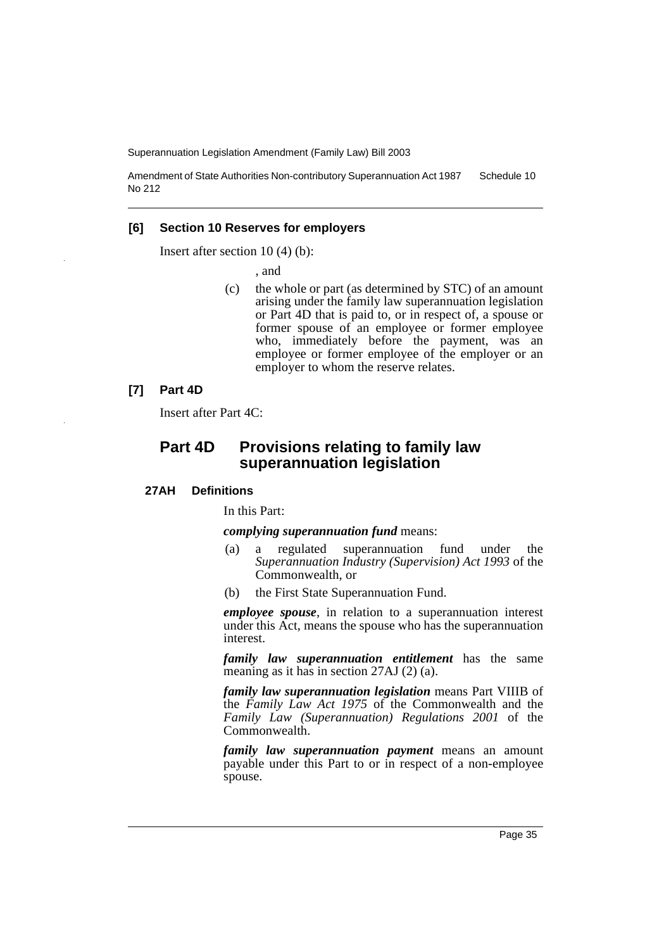Amendment of State Authorities Non-contributory Superannuation Act 1987 No 212 Schedule 10

#### **[6] Section 10 Reserves for employers**

Insert after section 10 (4) (b):

, and

(c) the whole or part (as determined by STC) of an amount arising under the family law superannuation legislation or Part 4D that is paid to, or in respect of, a spouse or former spouse of an employee or former employee who, immediately before the payment, was an employee or former employee of the employer or an employer to whom the reserve relates.

#### **[7] Part 4D**

Insert after Part 4C:

# **Part 4D Provisions relating to family law superannuation legislation**

#### **27AH Definitions**

In this Part:

*complying superannuation fund* means:

- (a) a regulated superannuation fund under the *Superannuation Industry (Supervision) Act 1993* of the Commonwealth, or
- (b) the First State Superannuation Fund.

*employee spouse*, in relation to a superannuation interest under this Act, means the spouse who has the superannuation interest.

*family law superannuation entitlement* has the same meaning as it has in section 27AJ (2) (a).

*family law superannuation legislation* means Part VIIIB of the *Family Law Act 1975* of the Commonwealth and the *Family Law (Superannuation) Regulations 2001* of the Commonwealth.

*family law superannuation payment* means an amount payable under this Part to or in respect of a non-employee spouse.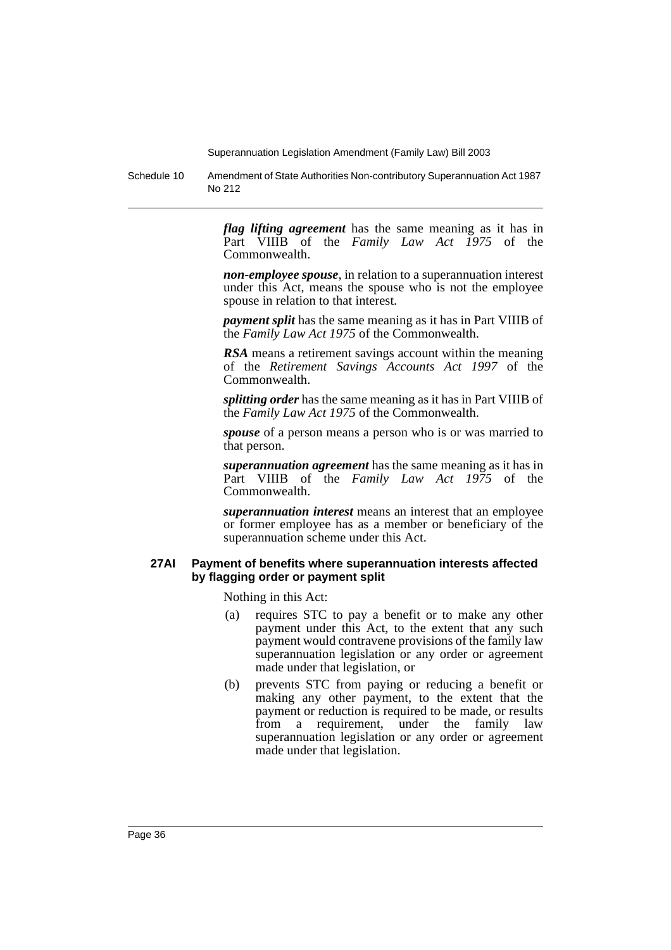Schedule 10 Amendment of State Authorities Non-contributory Superannuation Act 1987 No 212

> *flag lifting agreement* has the same meaning as it has in Part VIIIB of the *Family Law Act 1975* of the Commonwealth.

> *non-employee spouse*, in relation to a superannuation interest under this Act, means the spouse who is not the employee spouse in relation to that interest.

> *payment split* has the same meaning as it has in Part VIIIB of the *Family Law Act 1975* of the Commonwealth.

> *RSA* means a retirement savings account within the meaning of the *Retirement Savings Accounts Act 1997* of the Commonwealth.

> *splitting order* has the same meaning as it has in Part VIIIB of the *Family Law Act 1975* of the Commonwealth.

> *spouse* of a person means a person who is or was married to that person.

> *superannuation agreement* has the same meaning as it has in Part VIIIB of the *Family Law Act 1975* of the Commonwealth.

> *superannuation interest* means an interest that an employee or former employee has as a member or beneficiary of the superannuation scheme under this Act.

### **27AI Payment of benefits where superannuation interests affected by flagging order or payment split**

Nothing in this Act:

- (a) requires STC to pay a benefit or to make any other payment under this Act, to the extent that any such payment would contravene provisions of the family law superannuation legislation or any order or agreement made under that legislation, or
- (b) prevents STC from paying or reducing a benefit or making any other payment, to the extent that the payment or reduction is required to be made, or results from a requirement, under the family law superannuation legislation or any order or agreement made under that legislation.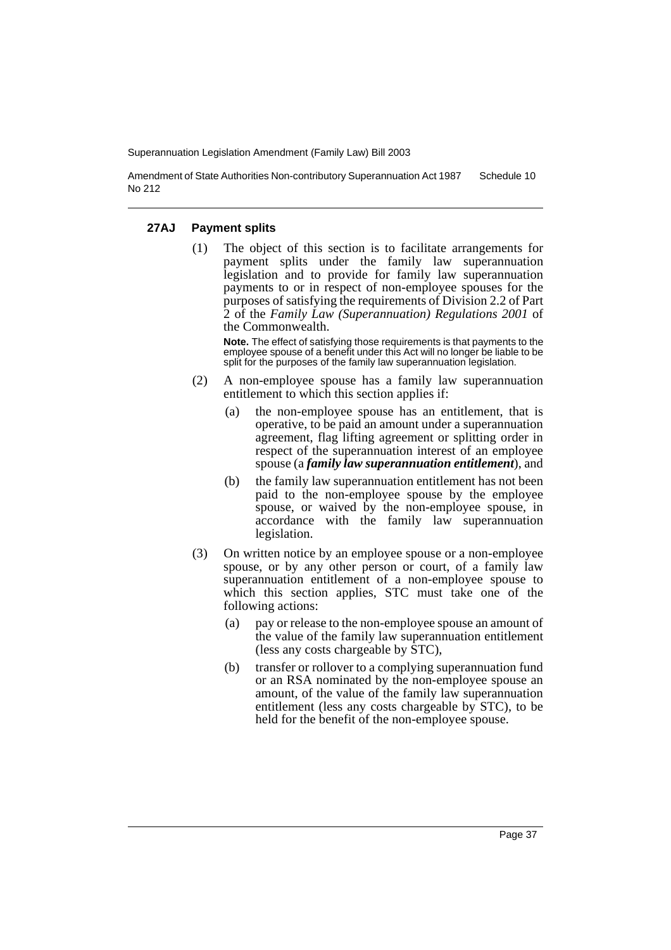Amendment of State Authorities Non-contributory Superannuation Act 1987 No 212 Schedule 10

#### **27AJ Payment splits**

(1) The object of this section is to facilitate arrangements for payment splits under the family law superannuation legislation and to provide for family law superannuation payments to or in respect of non-employee spouses for the purposes of satisfying the requirements of Division 2.2 of Part 2 of the *Family Law (Superannuation) Regulations 2001* of the Commonwealth.

**Note.** The effect of satisfying those requirements is that payments to the employee spouse of a benefit under this Act will no longer be liable to be split for the purposes of the family law superannuation legislation.

- (2) A non-employee spouse has a family law superannuation entitlement to which this section applies if:
	- (a) the non-employee spouse has an entitlement, that is operative, to be paid an amount under a superannuation agreement, flag lifting agreement or splitting order in respect of the superannuation interest of an employee spouse (a *family law superannuation entitlement*), and
	- (b) the family law superannuation entitlement has not been paid to the non-employee spouse by the employee spouse, or waived by the non-employee spouse, in accordance with the family law superannuation legislation.
- (3) On written notice by an employee spouse or a non-employee spouse, or by any other person or court, of a family law superannuation entitlement of a non-employee spouse to which this section applies, STC must take one of the following actions:
	- (a) pay or release to the non-employee spouse an amount of the value of the family law superannuation entitlement (less any costs chargeable by STC),
	- (b) transfer or rollover to a complying superannuation fund or an RSA nominated by the non-employee spouse an amount, of the value of the family law superannuation entitlement (less any costs chargeable by STC), to be held for the benefit of the non-employee spouse.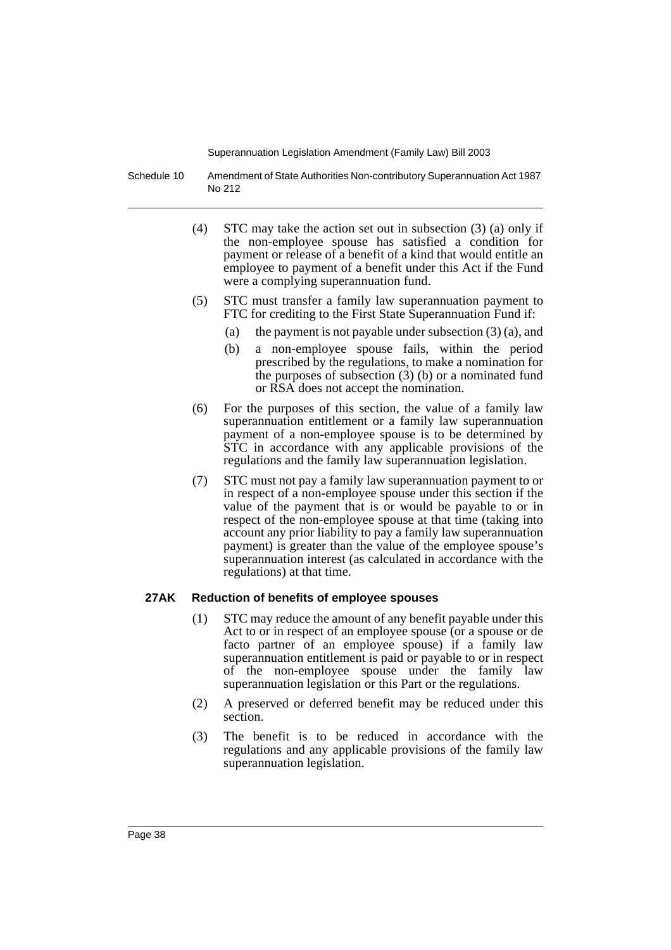Schedule 10 Amendment of State Authorities Non-contributory Superannuation Act 1987 No 212

- (4) STC may take the action set out in subsection (3) (a) only if the non-employee spouse has satisfied a condition for payment or release of a benefit of a kind that would entitle an employee to payment of a benefit under this Act if the Fund were a complying superannuation fund.
- (5) STC must transfer a family law superannuation payment to FTC for crediting to the First State Superannuation Fund if:
	- (a) the payment is not payable under subsection (3) (a), and
	- (b) a non-employee spouse fails, within the period prescribed by the regulations, to make a nomination for the purposes of subsection  $(3)$  (b) or a nominated fund or RSA does not accept the nomination.
- (6) For the purposes of this section, the value of a family law superannuation entitlement or a family law superannuation payment of a non-employee spouse is to be determined by STC in accordance with any applicable provisions of the regulations and the family law superannuation legislation.
- (7) STC must not pay a family law superannuation payment to or in respect of a non-employee spouse under this section if the value of the payment that is or would be payable to or in respect of the non-employee spouse at that time (taking into account any prior liability to pay a family law superannuation payment) is greater than the value of the employee spouse's superannuation interest (as calculated in accordance with the regulations) at that time.

# **27AK Reduction of benefits of employee spouses**

- (1) STC may reduce the amount of any benefit payable under this Act to or in respect of an employee spouse (or a spouse or de facto partner of an employee spouse) if a family law superannuation entitlement is paid or payable to or in respect of the non-employee spouse under the family law superannuation legislation or this Part or the regulations.
- (2) A preserved or deferred benefit may be reduced under this section.
- (3) The benefit is to be reduced in accordance with the regulations and any applicable provisions of the family law superannuation legislation.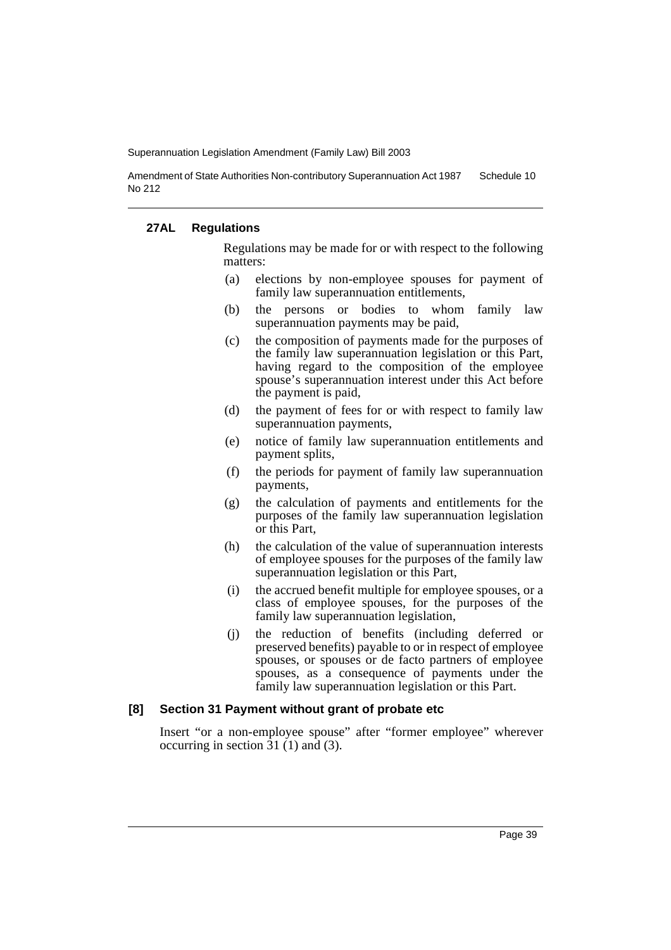Amendment of State Authorities Non-contributory Superannuation Act 1987 No 212 Schedule 10

### **27AL Regulations**

Regulations may be made for or with respect to the following matters:

- (a) elections by non-employee spouses for payment of family law superannuation entitlements,
- (b) the persons or bodies to whom family law superannuation payments may be paid,
- (c) the composition of payments made for the purposes of the family law superannuation legislation or this Part, having regard to the composition of the employee spouse's superannuation interest under this Act before the payment is paid,
- (d) the payment of fees for or with respect to family law superannuation payments,
- (e) notice of family law superannuation entitlements and payment splits,
- (f) the periods for payment of family law superannuation payments,
- (g) the calculation of payments and entitlements for the purposes of the family law superannuation legislation or this Part,
- (h) the calculation of the value of superannuation interests of employee spouses for the purposes of the family law superannuation legislation or this Part,
- (i) the accrued benefit multiple for employee spouses, or a class of employee spouses, for the purposes of the family law superannuation legislation,
- (j) the reduction of benefits (including deferred or preserved benefits) payable to or in respect of employee spouses, or spouses or de facto partners of employee spouses, as a consequence of payments under the family law superannuation legislation or this Part.

#### **[8] Section 31 Payment without grant of probate etc**

Insert "or a non-employee spouse" after "former employee" wherever occurring in section 31 (1) and (3).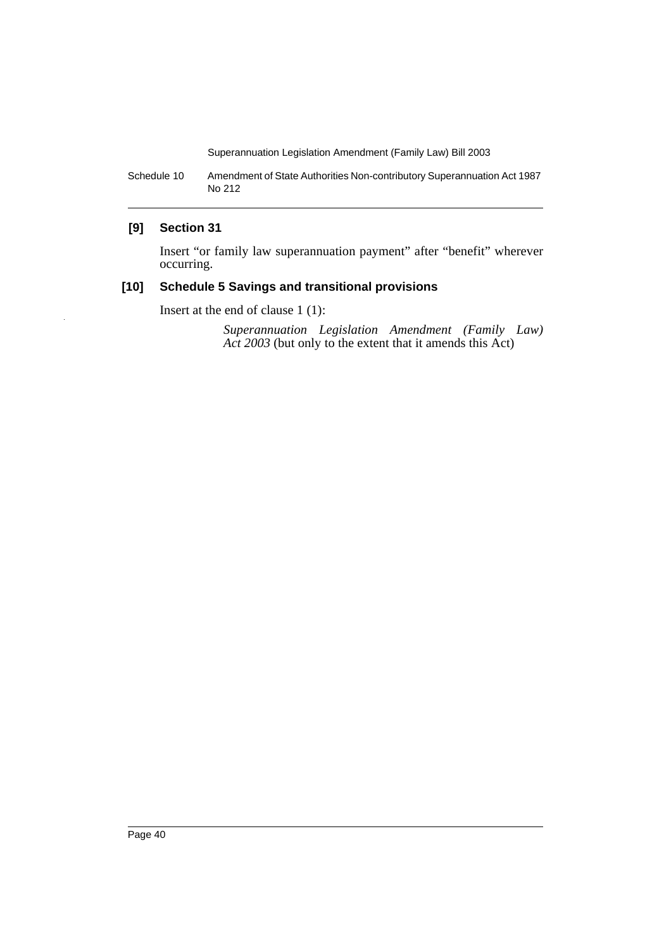Schedule 10 Amendment of State Authorities Non-contributory Superannuation Act 1987 No 212

# **[9] Section 31**

Insert "or family law superannuation payment" after "benefit" wherever occurring.

# **[10] Schedule 5 Savings and transitional provisions**

Insert at the end of clause 1 (1):

*Superannuation Legislation Amendment (Family Law) Act 2003* (but only to the extent that it amends this Act)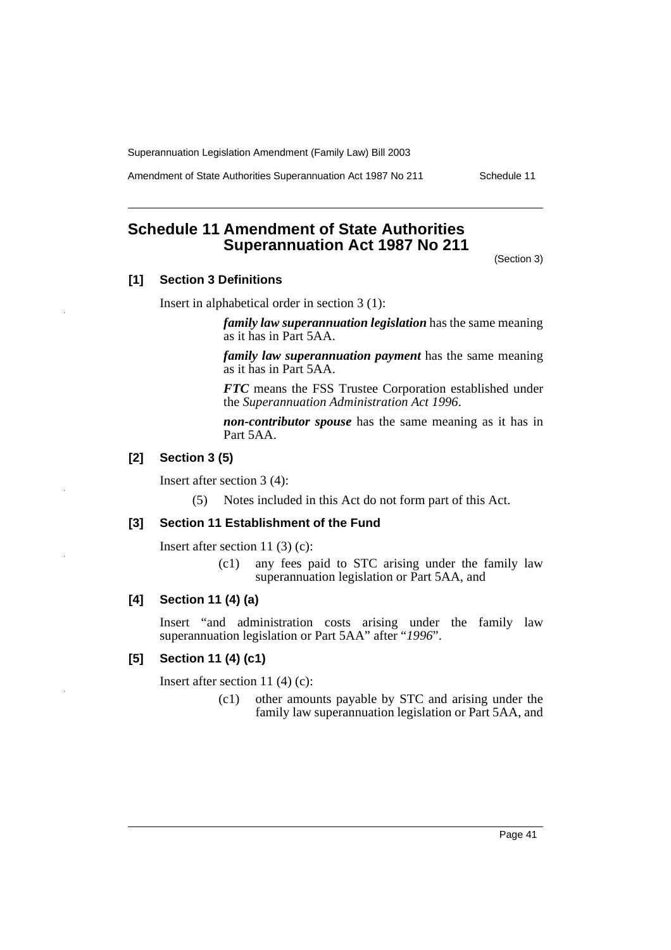Amendment of State Authorities Superannuation Act 1987 No 211 Schedule 11

# **Schedule 11 Amendment of State Authorities Superannuation Act 1987 No 211**

(Section 3)

# **[1] Section 3 Definitions**

Insert in alphabetical order in section 3 (1):

*family law superannuation legislation* has the same meaning as it has in Part 5AA.

*family law superannuation payment* has the same meaning as it has in Part 5AA.

*FTC* means the FSS Trustee Corporation established under the *Superannuation Administration Act 1996*.

*non-contributor spouse* has the same meaning as it has in Part 5AA.

# **[2] Section 3 (5)**

Insert after section 3 (4):

(5) Notes included in this Act do not form part of this Act.

#### **[3] Section 11 Establishment of the Fund**

Insert after section 11 (3) (c):

(c1) any fees paid to STC arising under the family law superannuation legislation or Part 5AA, and

# **[4] Section 11 (4) (a)**

Insert "and administration costs arising under the family law superannuation legislation or Part 5AA" after "*1996*".

### **[5] Section 11 (4) (c1)**

Insert after section 11 (4) (c):

(c1) other amounts payable by STC and arising under the family law superannuation legislation or Part 5AA, and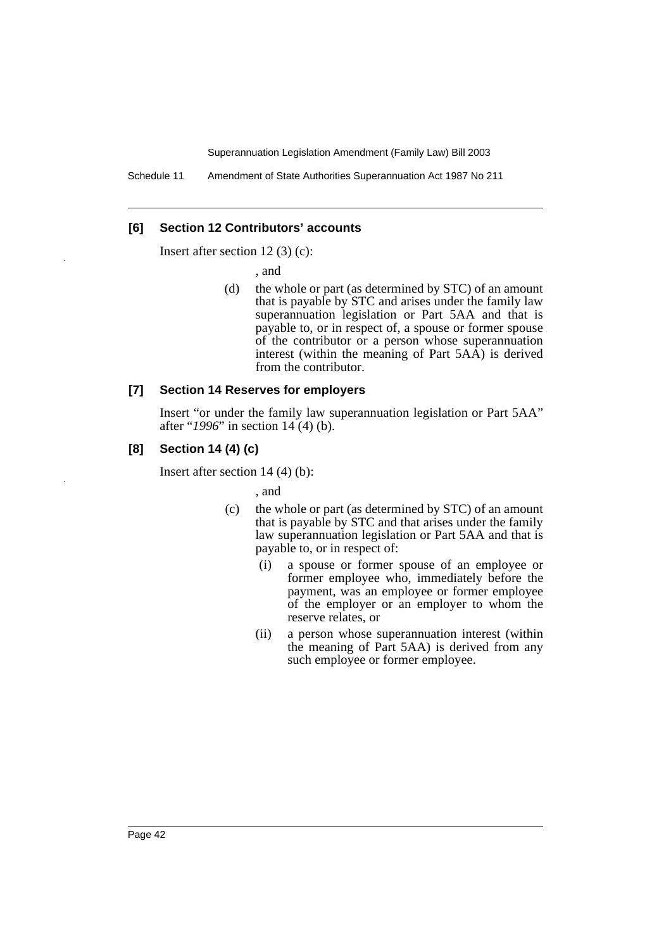### **[6] Section 12 Contributors' accounts**

Insert after section 12 (3) (c):

, and

(d) the whole or part (as determined by STC) of an amount that is payable by STC and arises under the family law superannuation legislation or Part 5AA and that is payable to, or in respect of, a spouse or former spouse of the contributor or a person whose superannuation interest (within the meaning of Part 5AA) is derived from the contributor.

#### **[7] Section 14 Reserves for employers**

Insert "or under the family law superannuation legislation or Part 5AA" after "*1996*" in section 14 (4) (b).

# **[8] Section 14 (4) (c)**

Insert after section 14 (4) (b):

, and

- (c) the whole or part (as determined by STC) of an amount that is payable by STC and that arises under the family law superannuation legislation or Part 5AA and that is payable to, or in respect of:
	- (i) a spouse or former spouse of an employee or former employee who, immediately before the payment, was an employee or former employee of the employer or an employer to whom the reserve relates, or
	- (ii) a person whose superannuation interest (within the meaning of Part 5AA) is derived from any such employee or former employee.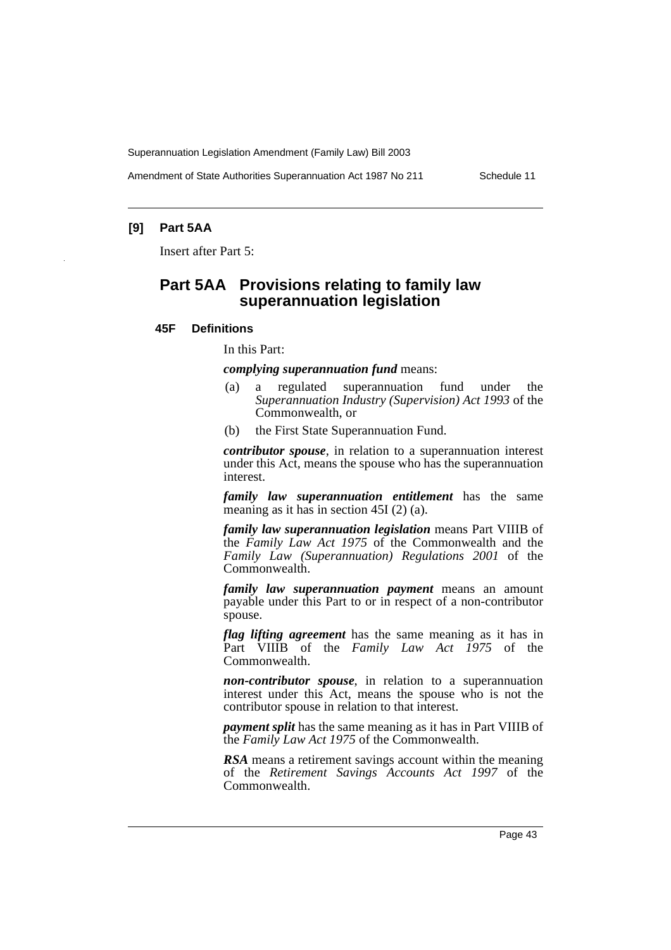Amendment of State Authorities Superannuation Act 1987 No 211 Schedule 11

# **[9] Part 5AA**

Insert after Part 5:

# **Part 5AA Provisions relating to family law superannuation legislation**

#### **45F Definitions**

In this Part:

*complying superannuation fund* means:

- (a) a regulated superannuation fund under the *Superannuation Industry (Supervision) Act 1993* of the Commonwealth, or
- (b) the First State Superannuation Fund.

*contributor spouse*, in relation to a superannuation interest under this Act, means the spouse who has the superannuation interest.

*family law superannuation entitlement* has the same meaning as it has in section 45I (2) (a).

*family law superannuation legislation* means Part VIIIB of the *Family Law Act 1975* of the Commonwealth and the *Family Law (Superannuation) Regulations 2001* of the Commonwealth.

*family law superannuation payment* means an amount payable under this Part to or in respect of a non-contributor spouse.

*flag lifting agreement* has the same meaning as it has in Part VIIIB of the *Family Law Act 1975* of the Commonwealth.

*non-contributor spouse*, in relation to a superannuation interest under this Act, means the spouse who is not the contributor spouse in relation to that interest.

*payment split* has the same meaning as it has in Part VIIIB of the *Family Law Act 1975* of the Commonwealth.

*RSA* means a retirement savings account within the meaning of the *Retirement Savings Accounts Act 1997* of the Commonwealth.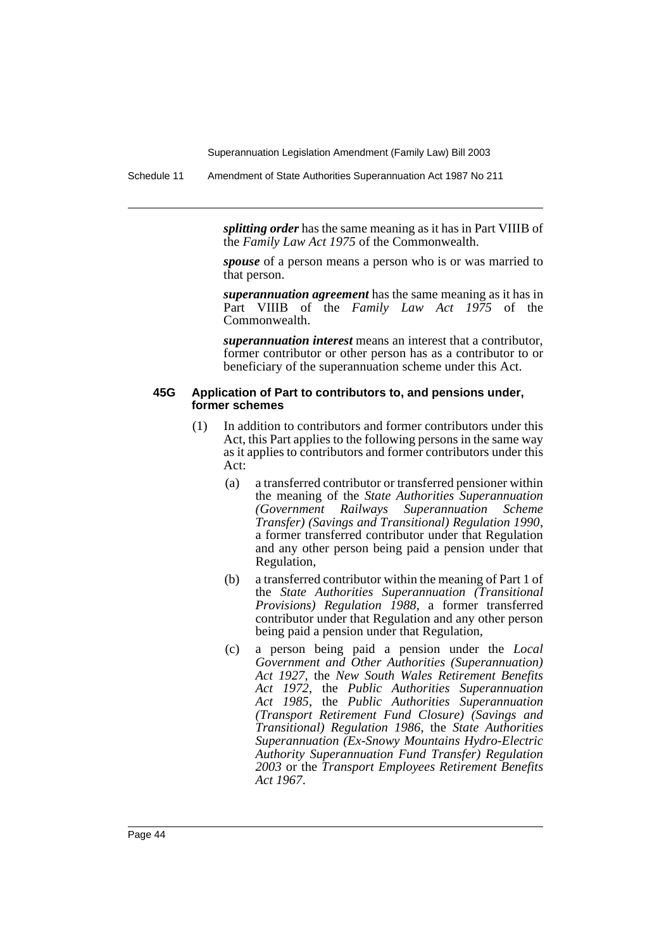Schedule 11 Amendment of State Authorities Superannuation Act 1987 No 211

*splitting order* has the same meaning as it has in Part VIIIB of the *Family Law Act 1975* of the Commonwealth.

*spouse* of a person means a person who is or was married to that person.

*superannuation agreement* has the same meaning as it has in Part VIIIB of the *Family Law Act 1975* of the Commonwealth.

*superannuation interest* means an interest that a contributor, former contributor or other person has as a contributor to or beneficiary of the superannuation scheme under this Act.

#### **45G Application of Part to contributors to, and pensions under, former schemes**

- (1) In addition to contributors and former contributors under this Act, this Part applies to the following persons in the same way as it applies to contributors and former contributors under this Act:
	- (a) a transferred contributor or transferred pensioner within the meaning of the *State Authorities Superannuation (Government Railways Superannuation Scheme Transfer) (Savings and Transitional) Regulation 1990*, a former transferred contributor under that Regulation and any other person being paid a pension under that Regulation,
	- (b) a transferred contributor within the meaning of Part 1 of the *State Authorities Superannuation (Transitional Provisions) Regulation 1988*, a former transferred contributor under that Regulation and any other person being paid a pension under that Regulation,
	- (c) a person being paid a pension under the *Local Government and Other Authorities (Superannuation) Act 1927*, the *New South Wales Retirement Benefits Act 1972*, the *Public Authorities Superannuation Act 1985*, the *Public Authorities Superannuation (Transport Retirement Fund Closure) (Savings and Transitional) Regulation 1986*, the *State Authorities Superannuation (Ex-Snowy Mountains Hydro-Electric Authority Superannuation Fund Transfer) Regulation 2003* or the *Transport Employees Retirement Benefits Act 1967*.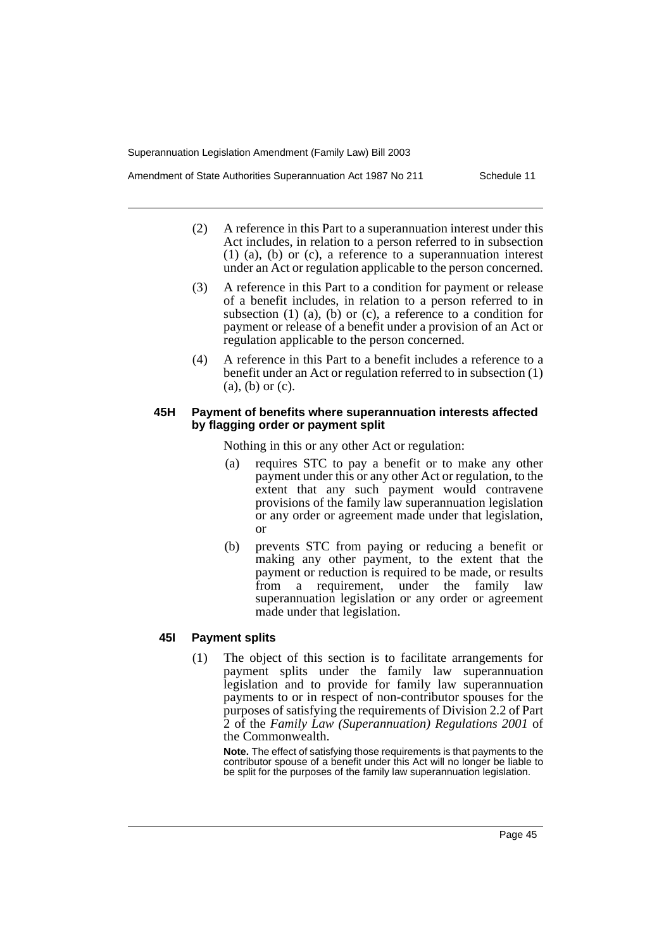- (2) A reference in this Part to a superannuation interest under this Act includes, in relation to a person referred to in subsection (1) (a), (b) or (c), a reference to a superannuation interest under an Act or regulation applicable to the person concerned.
- (3) A reference in this Part to a condition for payment or release of a benefit includes, in relation to a person referred to in subsection  $(1)$   $(a)$ ,  $(b)$  or  $(c)$ , a reference to a condition for payment or release of a benefit under a provision of an Act or regulation applicable to the person concerned.
- (4) A reference in this Part to a benefit includes a reference to a benefit under an Act or regulation referred to in subsection (1) (a), (b) or (c).

#### **45H Payment of benefits where superannuation interests affected by flagging order or payment split**

Nothing in this or any other Act or regulation:

- (a) requires STC to pay a benefit or to make any other payment under this or any other Act or regulation, to the extent that any such payment would contravene provisions of the family law superannuation legislation or any order or agreement made under that legislation, or
- (b) prevents STC from paying or reducing a benefit or making any other payment, to the extent that the payment or reduction is required to be made, or results from a requirement, under the family law superannuation legislation or any order or agreement made under that legislation.

# **45I Payment splits**

(1) The object of this section is to facilitate arrangements for payment splits under the family law superannuation legislation and to provide for family law superannuation payments to or in respect of non-contributor spouses for the purposes of satisfying the requirements of Division 2.2 of Part 2 of the *Family Law (Superannuation) Regulations 2001* of the Commonwealth.

**Note.** The effect of satisfying those requirements is that payments to the contributor spouse of a benefit under this Act will no longer be liable to be split for the purposes of the family law superannuation legislation.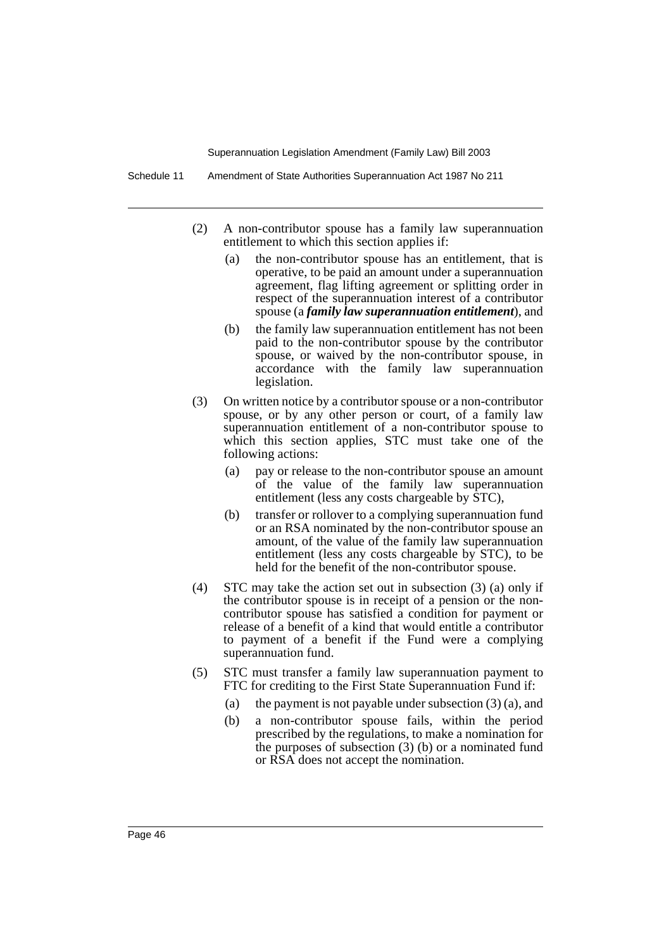- (2) A non-contributor spouse has a family law superannuation entitlement to which this section applies if:
	- (a) the non-contributor spouse has an entitlement, that is operative, to be paid an amount under a superannuation agreement, flag lifting agreement or splitting order in respect of the superannuation interest of a contributor spouse (a *family law superannuation entitlement*), and
	- (b) the family law superannuation entitlement has not been paid to the non-contributor spouse by the contributor spouse, or waived by the non-contributor spouse, in accordance with the family law superannuation legislation.
- (3) On written notice by a contributor spouse or a non-contributor spouse, or by any other person or court, of a family law superannuation entitlement of a non-contributor spouse to which this section applies, STC must take one of the following actions:
	- (a) pay or release to the non-contributor spouse an amount of the value of the family law superannuation entitlement (less any costs chargeable by STC),
	- (b) transfer or rollover to a complying superannuation fund or an RSA nominated by the non-contributor spouse an amount, of the value of the family law superannuation entitlement (less any costs chargeable by STC), to be held for the benefit of the non-contributor spouse.
- (4) STC may take the action set out in subsection (3) (a) only if the contributor spouse is in receipt of a pension or the noncontributor spouse has satisfied a condition for payment or release of a benefit of a kind that would entitle a contributor to payment of a benefit if the Fund were a complying superannuation fund.
- (5) STC must transfer a family law superannuation payment to FTC for crediting to the First State Superannuation Fund if:
	- (a) the payment is not payable under subsection (3) (a), and
	- (b) a non-contributor spouse fails, within the period prescribed by the regulations, to make a nomination for the purposes of subsection (3) (b) or a nominated fund or RSA does not accept the nomination.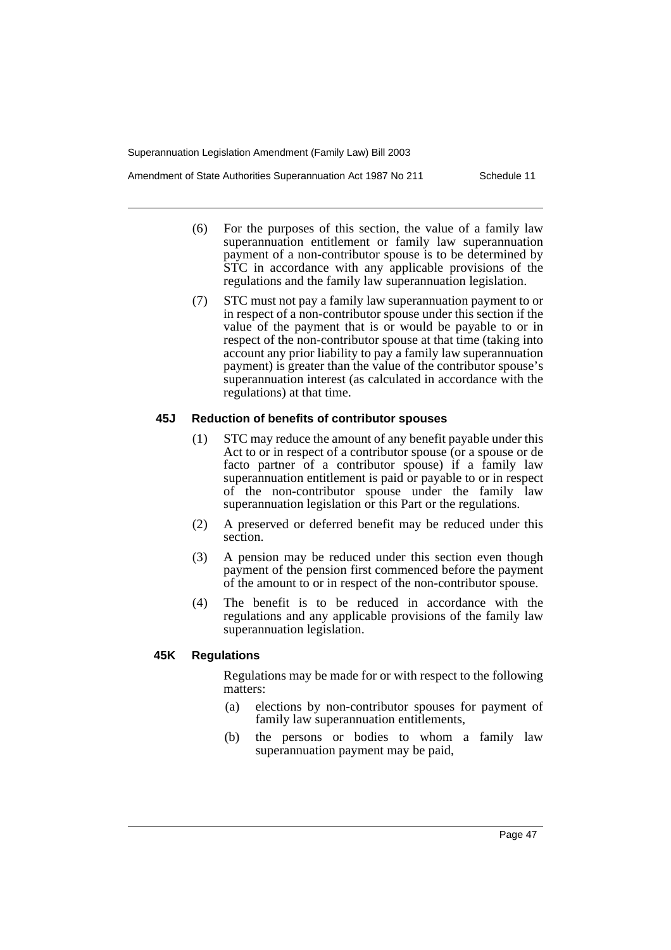- (6) For the purposes of this section, the value of a family law superannuation entitlement or family law superannuation payment of a non-contributor spouse is to be determined by STC in accordance with any applicable provisions of the regulations and the family law superannuation legislation.
- (7) STC must not pay a family law superannuation payment to or in respect of a non-contributor spouse under this section if the value of the payment that is or would be payable to or in respect of the non-contributor spouse at that time (taking into account any prior liability to pay a family law superannuation payment) is greater than the value of the contributor spouse's superannuation interest (as calculated in accordance with the regulations) at that time.

#### **45J Reduction of benefits of contributor spouses**

- (1) STC may reduce the amount of any benefit payable under this Act to or in respect of a contributor spouse (or a spouse or de facto partner of a contributor spouse) if a family law superannuation entitlement is paid or payable to or in respect of the non-contributor spouse under the family law superannuation legislation or this Part or the regulations.
- (2) A preserved or deferred benefit may be reduced under this section.
- (3) A pension may be reduced under this section even though payment of the pension first commenced before the payment of the amount to or in respect of the non-contributor spouse.
- (4) The benefit is to be reduced in accordance with the regulations and any applicable provisions of the family law superannuation legislation.

# **45K Regulations**

Regulations may be made for or with respect to the following matters:

- (a) elections by non-contributor spouses for payment of family law superannuation entitlements,
- (b) the persons or bodies to whom a family law superannuation payment may be paid,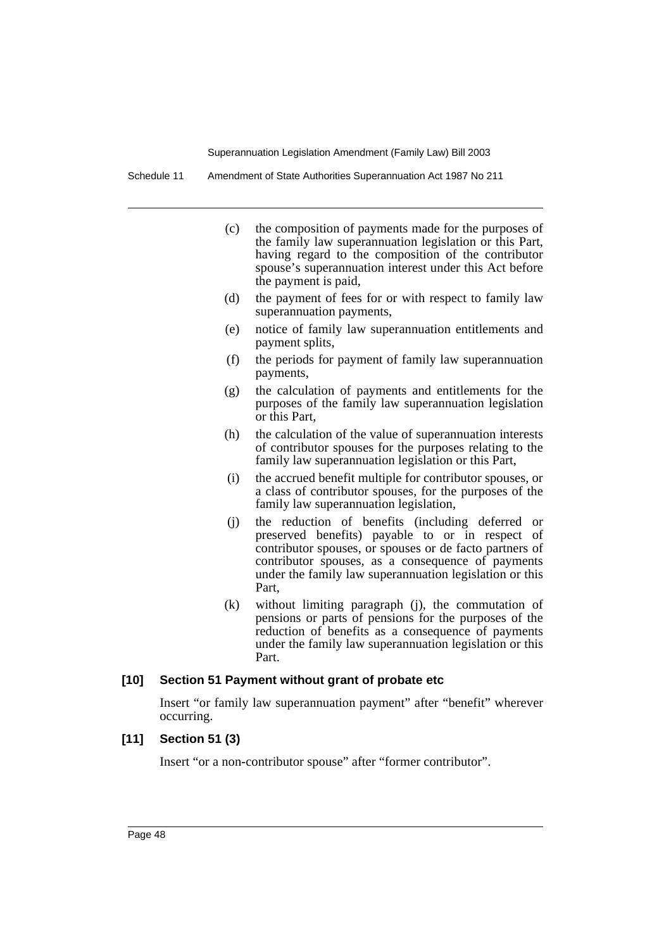Schedule 11 Amendment of State Authorities Superannuation Act 1987 No 211

- (c) the composition of payments made for the purposes of the family law superannuation legislation or this Part, having regard to the composition of the contributor spouse's superannuation interest under this Act before the payment is paid,
- (d) the payment of fees for or with respect to family law superannuation payments,
- (e) notice of family law superannuation entitlements and payment splits,
- (f) the periods for payment of family law superannuation payments,
- (g) the calculation of payments and entitlements for the purposes of the family law superannuation legislation or this Part,
- (h) the calculation of the value of superannuation interests of contributor spouses for the purposes relating to the family law superannuation legislation or this Part,
- (i) the accrued benefit multiple for contributor spouses, or a class of contributor spouses, for the purposes of the family law superannuation legislation,
- (j) the reduction of benefits (including deferred or preserved benefits) payable to or in respect of contributor spouses, or spouses or de facto partners of contributor spouses, as a consequence of payments under the family law superannuation legislation or this Part,
- (k) without limiting paragraph (j), the commutation of pensions or parts of pensions for the purposes of the reduction of benefits as a consequence of payments under the family law superannuation legislation or this Part.

#### **[10] Section 51 Payment without grant of probate etc**

Insert "or family law superannuation payment" after "benefit" wherever occurring.

# **[11] Section 51 (3)**

Insert "or a non-contributor spouse" after "former contributor".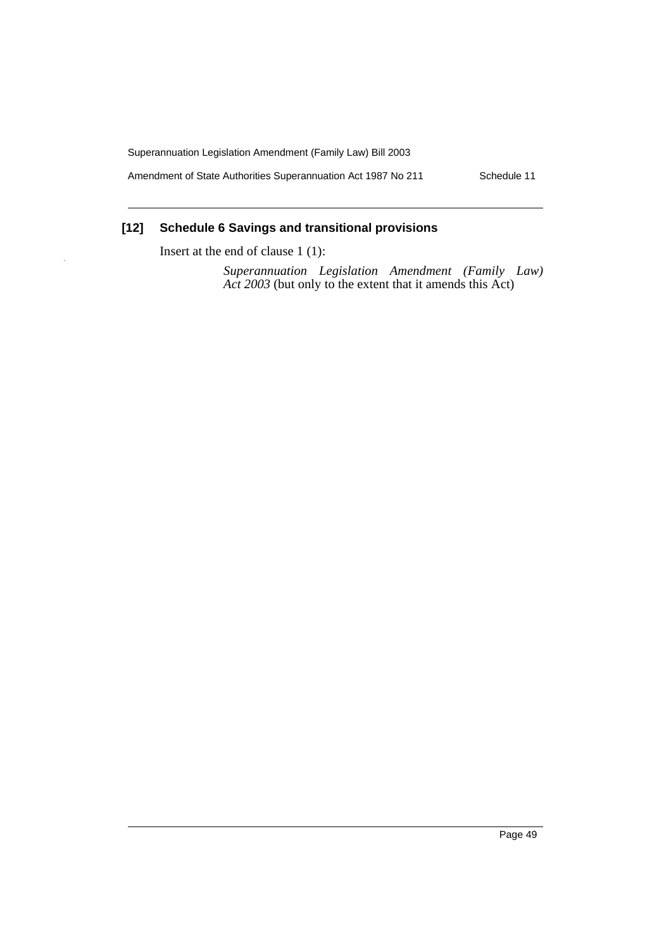Amendment of State Authorities Superannuation Act 1987 No 211 Schedule 11

# **[12] Schedule 6 Savings and transitional provisions**

Insert at the end of clause 1 (1):

*Superannuation Legislation Amendment (Family Law) Act 2003* (but only to the extent that it amends this Act)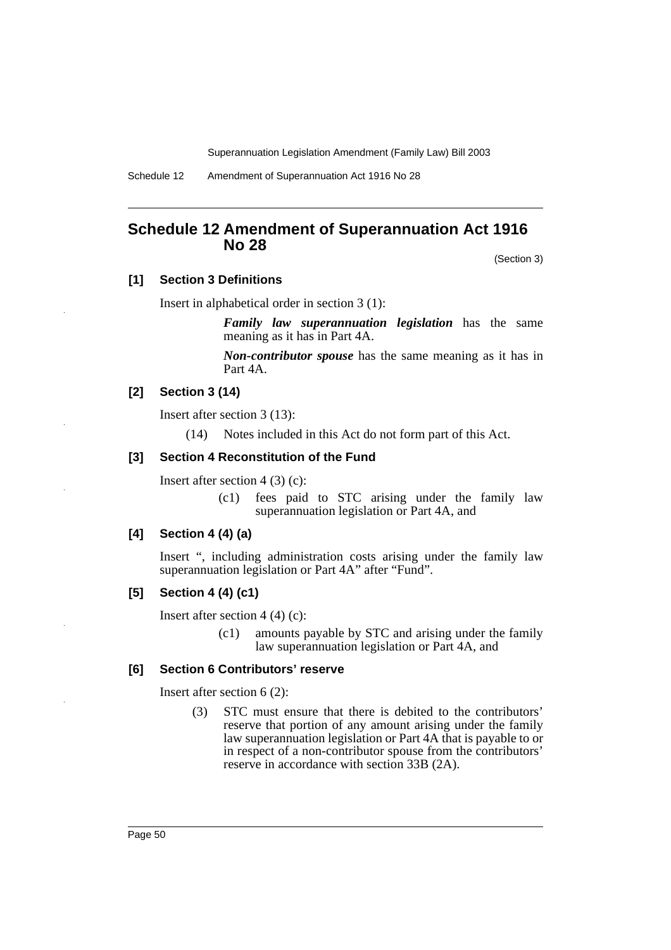Schedule 12 Amendment of Superannuation Act 1916 No 28

# **Schedule 12 Amendment of Superannuation Act 1916 No 28**

(Section 3)

# **[1] Section 3 Definitions**

Insert in alphabetical order in section 3 (1):

*Family law superannuation legislation* has the same meaning as it has in Part 4A.

*Non-contributor spouse* has the same meaning as it has in Part 4A.

# **[2] Section 3 (14)**

Insert after section 3 (13):

(14) Notes included in this Act do not form part of this Act.

# **[3] Section 4 Reconstitution of the Fund**

Insert after section  $4(3)(c)$ :

(c1) fees paid to STC arising under the family law superannuation legislation or Part 4A, and

# **[4] Section 4 (4) (a)**

Insert ", including administration costs arising under the family law superannuation legislation or Part 4A" after "Fund".

# **[5] Section 4 (4) (c1)**

Insert after section  $4(4)(c)$ :

(c1) amounts payable by STC and arising under the family law superannuation legislation or Part 4A, and

#### **[6] Section 6 Contributors' reserve**

Insert after section 6 (2):

(3) STC must ensure that there is debited to the contributors' reserve that portion of any amount arising under the family law superannuation legislation or Part 4A that is payable to or in respect of a non-contributor spouse from the contributors' reserve in accordance with section 33B (2A).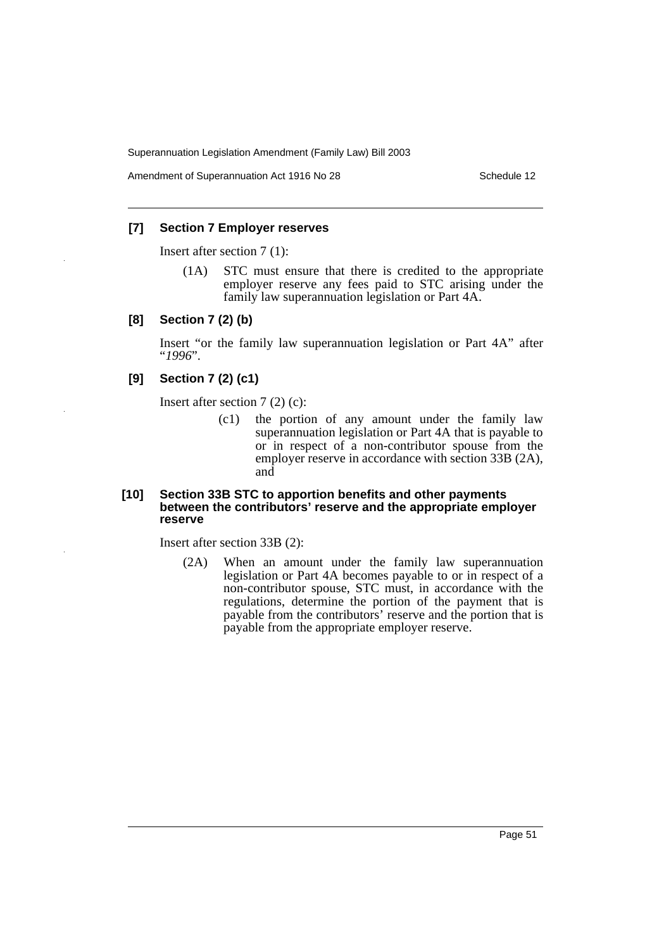Amendment of Superannuation Act 1916 No 28 Schedule 12

# **[7] Section 7 Employer reserves**

Insert after section 7 (1):

(1A) STC must ensure that there is credited to the appropriate employer reserve any fees paid to STC arising under the family law superannuation legislation or Part 4A.

#### **[8] Section 7 (2) (b)**

Insert "or the family law superannuation legislation or Part 4A" after "*1996*".

# **[9] Section 7 (2) (c1)**

Insert after section 7 (2) (c):

(c1) the portion of any amount under the family law superannuation legislation or Part 4A that is payable to or in respect of a non-contributor spouse from the employer reserve in accordance with section 33B (2A), and

#### **[10] Section 33B STC to apportion benefits and other payments between the contributors' reserve and the appropriate employer reserve**

Insert after section 33B (2):

(2A) When an amount under the family law superannuation legislation or Part 4A becomes payable to or in respect of a non-contributor spouse, STC must, in accordance with the regulations, determine the portion of the payment that is payable from the contributors' reserve and the portion that is payable from the appropriate employer reserve.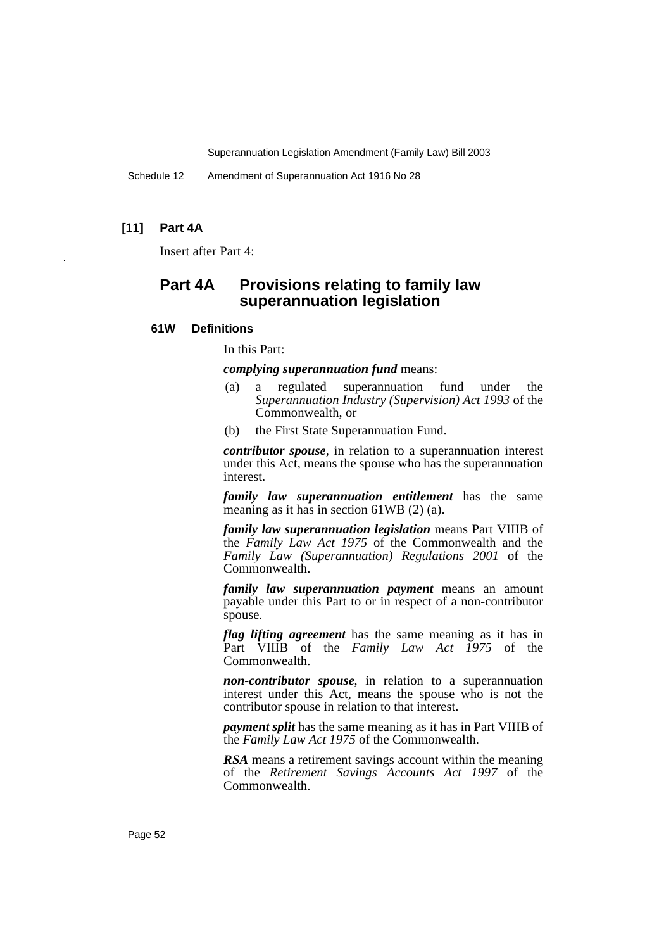Schedule 12 Amendment of Superannuation Act 1916 No 28

# **[11] Part 4A**

Insert after Part 4:

# **Part 4A Provisions relating to family law superannuation legislation**

#### **61W Definitions**

In this Part:

*complying superannuation fund* means:

- (a) a regulated superannuation fund under the *Superannuation Industry (Supervision) Act 1993* of the Commonwealth, or
- (b) the First State Superannuation Fund.

*contributor spouse*, in relation to a superannuation interest under this Act, means the spouse who has the superannuation interest.

*family law superannuation entitlement* has the same meaning as it has in section 61WB (2) (a).

*family law superannuation legislation* means Part VIIIB of the *Family Law Act 1975* of the Commonwealth and the *Family Law (Superannuation) Regulations 2001* of the Commonwealth.

*family law superannuation payment* means an amount payable under this Part to or in respect of a non-contributor spouse.

*flag lifting agreement* has the same meaning as it has in Part VIIIB of the *Family Law Act 1975* of the Commonwealth.

*non-contributor spouse*, in relation to a superannuation interest under this Act, means the spouse who is not the contributor spouse in relation to that interest.

*payment split* has the same meaning as it has in Part VIIIB of the *Family Law Act 1975* of the Commonwealth.

*RSA* means a retirement savings account within the meaning of the *Retirement Savings Accounts Act 1997* of the Commonwealth.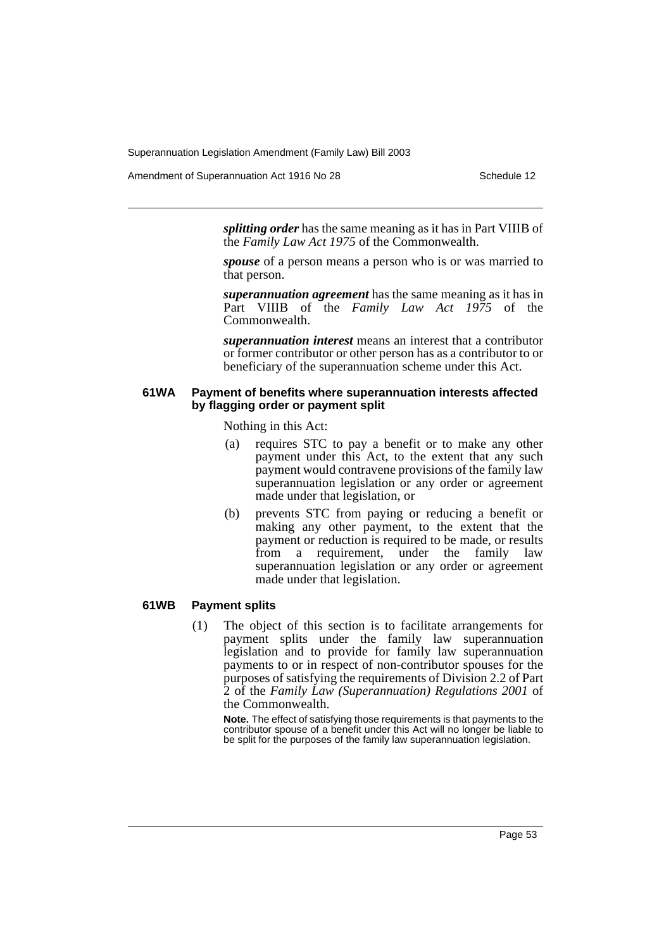Amendment of Superannuation Act 1916 No 28 Schedule 12

*splitting order* has the same meaning as it has in Part VIIIB of the *Family Law Act 1975* of the Commonwealth.

*spouse* of a person means a person who is or was married to that person.

*superannuation agreement* has the same meaning as it has in Part VIIIB of the *Family Law Act 1975* of the Commonwealth.

*superannuation interest* means an interest that a contributor or former contributor or other person has as a contributor to or beneficiary of the superannuation scheme under this Act.

#### **61WA Payment of benefits where superannuation interests affected by flagging order or payment split**

Nothing in this Act:

- (a) requires STC to pay a benefit or to make any other payment under this Act, to the extent that any such payment would contravene provisions of the family law superannuation legislation or any order or agreement made under that legislation, or
- (b) prevents STC from paying or reducing a benefit or making any other payment, to the extent that the payment or reduction is required to be made, or results from a requirement, under the family law superannuation legislation or any order or agreement made under that legislation.

#### **61WB Payment splits**

(1) The object of this section is to facilitate arrangements for payment splits under the family law superannuation legislation and to provide for family law superannuation payments to or in respect of non-contributor spouses for the purposes of satisfying the requirements of Division 2.2 of Part 2 of the *Family Law (Superannuation) Regulations 2001* of the Commonwealth.

**Note.** The effect of satisfying those requirements is that payments to the contributor spouse of a benefit under this Act will no longer be liable to be split for the purposes of the family law superannuation legislation.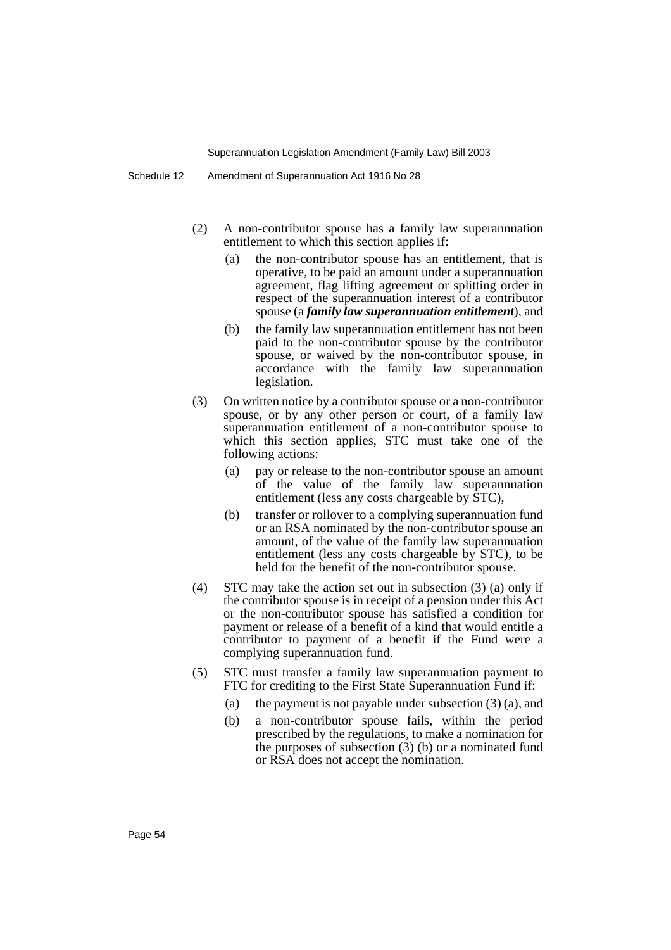- (2) A non-contributor spouse has a family law superannuation entitlement to which this section applies if:
	- (a) the non-contributor spouse has an entitlement, that is operative, to be paid an amount under a superannuation agreement, flag lifting agreement or splitting order in respect of the superannuation interest of a contributor spouse (a *family law superannuation entitlement*), and
	- (b) the family law superannuation entitlement has not been paid to the non-contributor spouse by the contributor spouse, or waived by the non-contributor spouse, in accordance with the family law superannuation legislation.
- (3) On written notice by a contributor spouse or a non-contributor spouse, or by any other person or court, of a family law superannuation entitlement of a non-contributor spouse to which this section applies, STC must take one of the following actions:
	- (a) pay or release to the non-contributor spouse an amount of the value of the family law superannuation entitlement (less any costs chargeable by STC),
	- (b) transfer or rollover to a complying superannuation fund or an RSA nominated by the non-contributor spouse an amount, of the value of the family law superannuation entitlement (less any costs chargeable by STC), to be held for the benefit of the non-contributor spouse.
- (4) STC may take the action set out in subsection (3) (a) only if the contributor spouse is in receipt of a pension under this Act or the non-contributor spouse has satisfied a condition for payment or release of a benefit of a kind that would entitle a contributor to payment of a benefit if the Fund were a complying superannuation fund.
- (5) STC must transfer a family law superannuation payment to FTC for crediting to the First State Superannuation Fund if:
	- (a) the payment is not payable under subsection (3) (a), and
	- (b) a non-contributor spouse fails, within the period prescribed by the regulations, to make a nomination for the purposes of subsection (3) (b) or a nominated fund or RSA does not accept the nomination.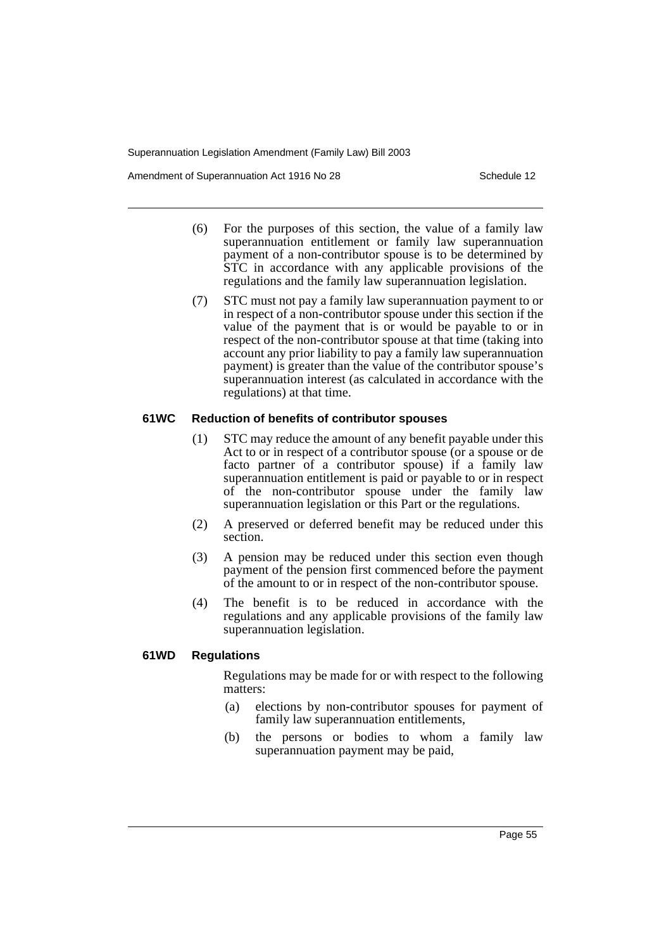Amendment of Superannuation Act 1916 No 28 Schedule 12

- (6) For the purposes of this section, the value of a family law superannuation entitlement or family law superannuation payment of a non-contributor spouse is to be determined by STC in accordance with any applicable provisions of the regulations and the family law superannuation legislation.
- (7) STC must not pay a family law superannuation payment to or in respect of a non-contributor spouse under this section if the value of the payment that is or would be payable to or in respect of the non-contributor spouse at that time (taking into account any prior liability to pay a family law superannuation payment) is greater than the value of the contributor spouse's superannuation interest (as calculated in accordance with the regulations) at that time.

#### **61WC Reduction of benefits of contributor spouses**

- (1) STC may reduce the amount of any benefit payable under this Act to or in respect of a contributor spouse (or a spouse or de facto partner of a contributor spouse) if a family law superannuation entitlement is paid or payable to or in respect of the non-contributor spouse under the family law superannuation legislation or this Part or the regulations.
- (2) A preserved or deferred benefit may be reduced under this section.
- (3) A pension may be reduced under this section even though payment of the pension first commenced before the payment of the amount to or in respect of the non-contributor spouse.
- (4) The benefit is to be reduced in accordance with the regulations and any applicable provisions of the family law superannuation legislation.

# **61WD Regulations**

Regulations may be made for or with respect to the following matters:

- (a) elections by non-contributor spouses for payment of family law superannuation entitlements,
- (b) the persons or bodies to whom a family law superannuation payment may be paid,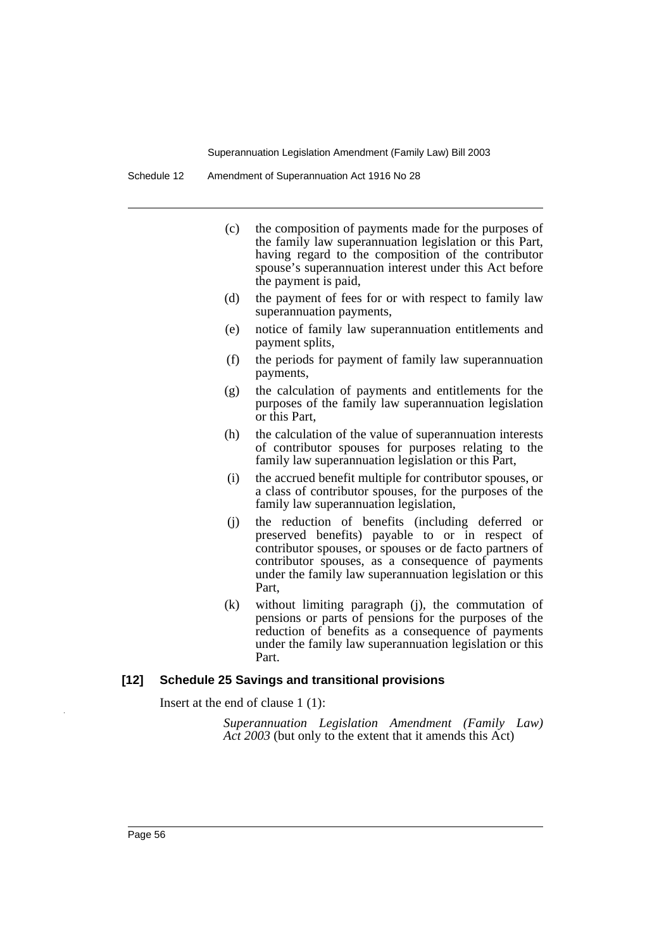- (c) the composition of payments made for the purposes of the family law superannuation legislation or this Part, having regard to the composition of the contributor spouse's superannuation interest under this Act before the payment is paid,
- (d) the payment of fees for or with respect to family law superannuation payments,
- (e) notice of family law superannuation entitlements and payment splits,
- (f) the periods for payment of family law superannuation payments,
- (g) the calculation of payments and entitlements for the purposes of the family law superannuation legislation or this Part,
- (h) the calculation of the value of superannuation interests of contributor spouses for purposes relating to the family law superannuation legislation or this Part,
- (i) the accrued benefit multiple for contributor spouses, or a class of contributor spouses, for the purposes of the family law superannuation legislation,
- (j) the reduction of benefits (including deferred or preserved benefits) payable to or in respect of contributor spouses, or spouses or de facto partners of contributor spouses, as a consequence of payments under the family law superannuation legislation or this Part,
- (k) without limiting paragraph (j), the commutation of pensions or parts of pensions for the purposes of the reduction of benefits as a consequence of payments under the family law superannuation legislation or this Part.

#### **[12] Schedule 25 Savings and transitional provisions**

Insert at the end of clause 1 (1):

*Superannuation Legislation Amendment (Family Law) Act 2003* (but only to the extent that it amends this Act)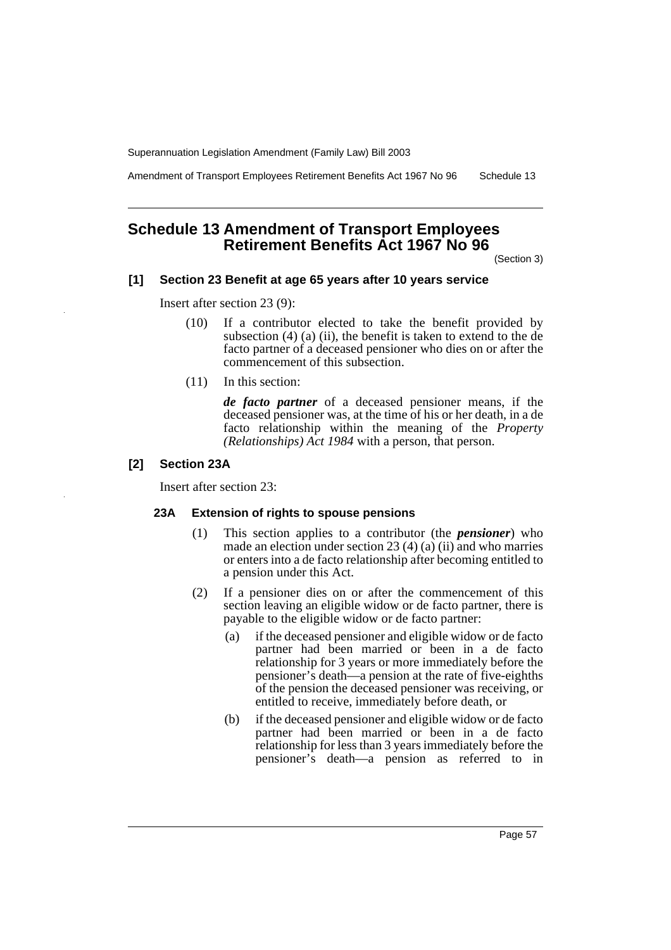Amendment of Transport Employees Retirement Benefits Act 1967 No 96 Schedule 13

# **Schedule 13 Amendment of Transport Employees Retirement Benefits Act 1967 No 96**

(Section 3)

# **[1] Section 23 Benefit at age 65 years after 10 years service**

Insert after section 23 (9):

- (10) If a contributor elected to take the benefit provided by subsection  $(4)$   $(a)$   $(ii)$ , the benefit is taken to extend to the de facto partner of a deceased pensioner who dies on or after the commencement of this subsection.
- (11) In this section:

*de facto partner* of a deceased pensioner means, if the deceased pensioner was, at the time of his or her death, in a de facto relationship within the meaning of the *Property (Relationships) Act 1984* with a person, that person.

#### **[2] Section 23A**

Insert after section 23:

#### **23A Extension of rights to spouse pensions**

- (1) This section applies to a contributor (the *pensioner*) who made an election under section 23 (4) (a) (ii) and who marries or enters into a de facto relationship after becoming entitled to a pension under this Act.
- (2) If a pensioner dies on or after the commencement of this section leaving an eligible widow or de facto partner, there is payable to the eligible widow or de facto partner:
	- (a) if the deceased pensioner and eligible widow or de facto partner had been married or been in a de facto relationship for 3 years or more immediately before the pensioner's death—a pension at the rate of five-eighths of the pension the deceased pensioner was receiving, or entitled to receive, immediately before death, or
	- (b) if the deceased pensioner and eligible widow or de facto partner had been married or been in a de facto relationship for less than 3 years immediately before the pensioner's death—a pension as referred to in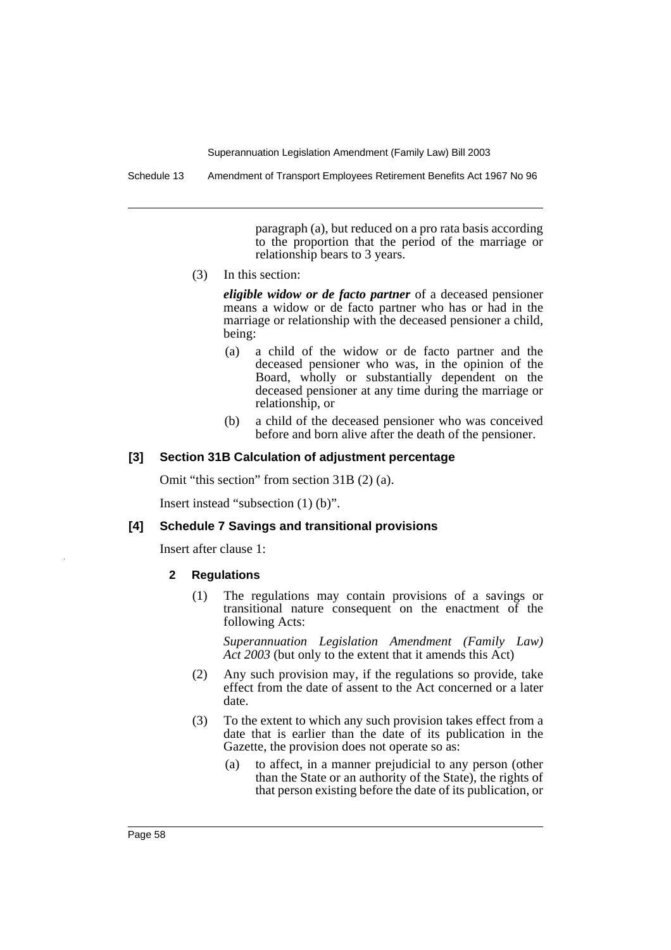Schedule 13 Amendment of Transport Employees Retirement Benefits Act 1967 No 96

paragraph (a), but reduced on a pro rata basis according to the proportion that the period of the marriage or relationship bears to 3 years.

(3) In this section:

*eligible widow or de facto partner* of a deceased pensioner means a widow or de facto partner who has or had in the marriage or relationship with the deceased pensioner a child, being:

- (a) a child of the widow or de facto partner and the deceased pensioner who was, in the opinion of the Board, wholly or substantially dependent on the deceased pensioner at any time during the marriage or relationship, or
- (b) a child of the deceased pensioner who was conceived before and born alive after the death of the pensioner.

#### **[3] Section 31B Calculation of adjustment percentage**

Omit "this section" from section 31B (2) (a).

Insert instead "subsection (1) (b)".

#### **[4] Schedule 7 Savings and transitional provisions**

Insert after clause 1:

- **2 Regulations**
	- (1) The regulations may contain provisions of a savings or transitional nature consequent on the enactment of the following Acts:

*Superannuation Legislation Amendment (Family Law) Act 2003* (but only to the extent that it amends this Act)

- (2) Any such provision may, if the regulations so provide, take effect from the date of assent to the Act concerned or a later date.
- (3) To the extent to which any such provision takes effect from a date that is earlier than the date of its publication in the Gazette, the provision does not operate so as:
	- (a) to affect, in a manner prejudicial to any person (other than the State or an authority of the State), the rights of that person existing before the date of its publication, or